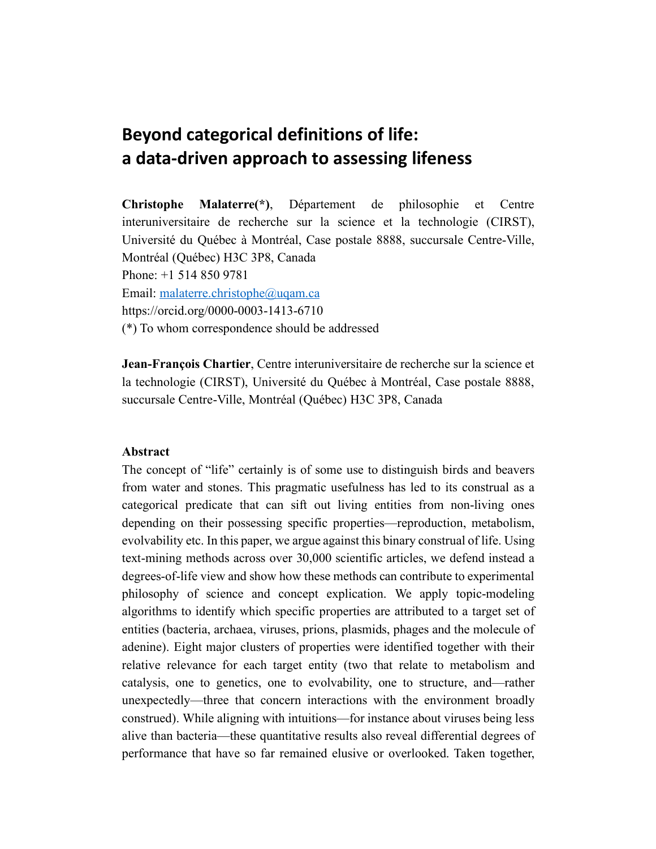**Christophe Malaterre(\*)**, Département de philosophie et Centre interuniversitaire de recherche sur la science et la technologie (CIRST), Université du Québec à Montréal, Case postale 8888, succursale Centre-Ville, Montréal (Québec) H3C 3P8, Canada Phone: +1 514 850 9781 Email: malaterre.christophe@uqam.ca https://orcid.org/0000-0003-1413-6710 (\*) To whom correspondence should be addressed

**Jean-François Chartier**, Centre interuniversitaire de recherche sur la science et la technologie (CIRST), Université du Québec à Montréal, Case postale 8888, succursale Centre-Ville, Montréal (Québec) H3C 3P8, Canada

#### **Abstract**

The concept of "life" certainly is of some use to distinguish birds and beavers from water and stones. This pragmatic usefulness has led to its construal as a categorical predicate that can sift out living entities from non-living ones depending on their possessing specific properties—reproduction, metabolism, evolvability etc. In this paper, we argue against this binary construal of life. Using text-mining methods across over 30,000 scientific articles, we defend instead a degrees-of-life view and show how these methods can contribute to experimental philosophy of science and concept explication. We apply topic-modeling algorithms to identify which specific properties are attributed to a target set of entities (bacteria, archaea, viruses, prions, plasmids, phages and the molecule of adenine). Eight major clusters of properties were identified together with their relative relevance for each target entity (two that relate to metabolism and catalysis, one to genetics, one to evolvability, one to structure, and—rather unexpectedly—three that concern interactions with the environment broadly construed). While aligning with intuitions—for instance about viruses being less alive than bacteria—these quantitative results also reveal differential degrees of performance that have so far remained elusive or overlooked. Taken together,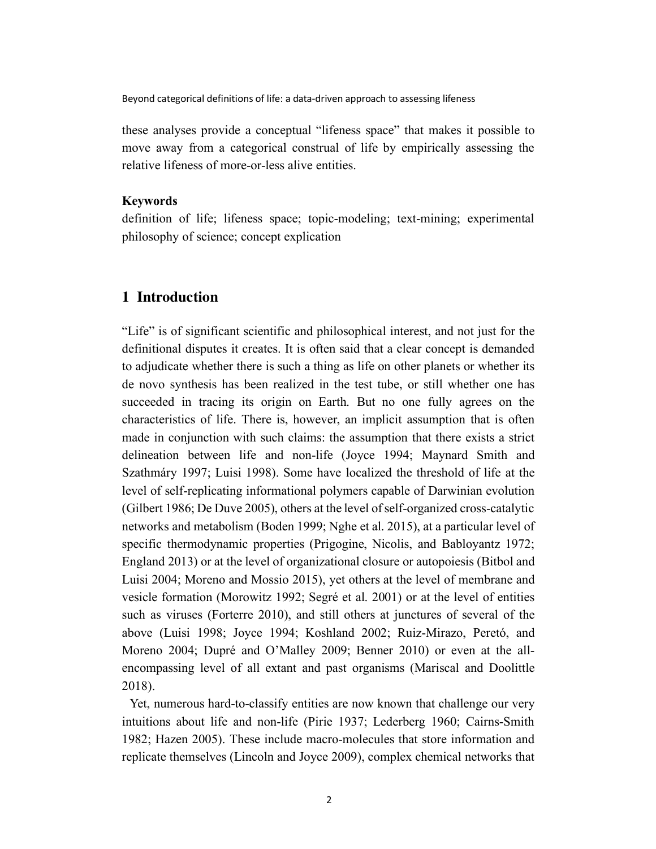these analyses provide a conceptual "lifeness space" that makes it possible to move away from a categorical construal of life by empirically assessing the relative lifeness of more-or-less alive entities.

#### **Keywords**

definition of life; lifeness space; topic-modeling; text-mining; experimental philosophy of science; concept explication

## **1 Introduction**

"Life" is of significant scientific and philosophical interest, and not just for the definitional disputes it creates. It is often said that a clear concept is demanded to adjudicate whether there is such a thing as life on other planets or whether its de novo synthesis has been realized in the test tube, or still whether one has succeeded in tracing its origin on Earth. But no one fully agrees on the characteristics of life. There is, however, an implicit assumption that is often made in conjunction with such claims: the assumption that there exists a strict delineation between life and non-life (Joyce 1994; Maynard Smith and Szathmáry 1997; Luisi 1998). Some have localized the threshold of life at the level of self-replicating informational polymers capable of Darwinian evolution (Gilbert 1986; De Duve 2005), others at the level of self-organized cross-catalytic networks and metabolism (Boden 1999; Nghe et al. 2015), at a particular level of specific thermodynamic properties (Prigogine, Nicolis, and Babloyantz 1972; England 2013) or at the level of organizational closure or autopoiesis (Bitbol and Luisi 2004; Moreno and Mossio 2015), yet others at the level of membrane and vesicle formation (Morowitz 1992; Segré et al. 2001) or at the level of entities such as viruses (Forterre 2010), and still others at junctures of several of the above (Luisi 1998; Joyce 1994; Koshland 2002; Ruiz-Mirazo, Peretó, and Moreno 2004; Dupré and O'Malley 2009; Benner 2010) or even at the allencompassing level of all extant and past organisms (Mariscal and Doolittle 2018).

Yet, numerous hard-to-classify entities are now known that challenge our very intuitions about life and non-life (Pirie 1937; Lederberg 1960; Cairns-Smith 1982; Hazen 2005). These include macro-molecules that store information and replicate themselves (Lincoln and Joyce 2009), complex chemical networks that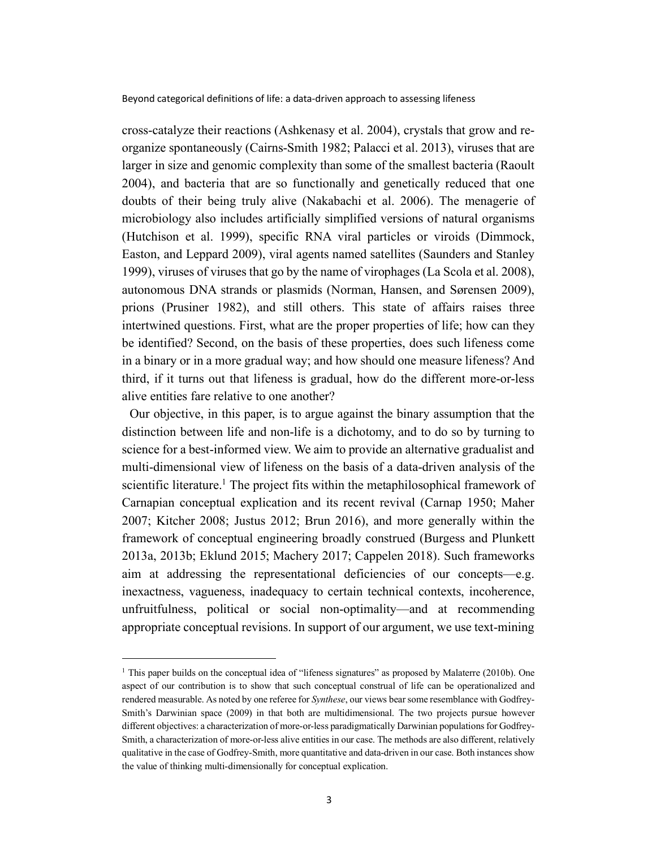cross-catalyze their reactions (Ashkenasy et al. 2004), crystals that grow and reorganize spontaneously (Cairns-Smith 1982; Palacci et al. 2013), viruses that are larger in size and genomic complexity than some of the smallest bacteria (Raoult 2004), and bacteria that are so functionally and genetically reduced that one doubts of their being truly alive (Nakabachi et al. 2006). The menagerie of microbiology also includes artificially simplified versions of natural organisms (Hutchison et al. 1999), specific RNA viral particles or viroids (Dimmock, Easton, and Leppard 2009), viral agents named satellites (Saunders and Stanley 1999), viruses of viruses that go by the name of virophages (La Scola et al. 2008), autonomous DNA strands or plasmids (Norman, Hansen, and Sørensen 2009), prions (Prusiner 1982), and still others. This state of affairs raises three intertwined questions. First, what are the proper properties of life; how can they be identified? Second, on the basis of these properties, does such lifeness come in a binary or in a more gradual way; and how should one measure lifeness? And third, if it turns out that lifeness is gradual, how do the different more-or-less alive entities fare relative to one another?

Our objective, in this paper, is to argue against the binary assumption that the distinction between life and non-life is a dichotomy, and to do so by turning to science for a best-informed view. We aim to provide an alternative gradualist and multi-dimensional view of lifeness on the basis of a data-driven analysis of the scientific literature.<sup>1</sup> The project fits within the metaphilosophical framework of Carnapian conceptual explication and its recent revival (Carnap 1950; Maher 2007; Kitcher 2008; Justus 2012; Brun 2016), and more generally within the framework of conceptual engineering broadly construed (Burgess and Plunkett 2013a, 2013b; Eklund 2015; Machery 2017; Cappelen 2018). Such frameworks aim at addressing the representational deficiencies of our concepts—e.g. inexactness, vagueness, inadequacy to certain technical contexts, incoherence, unfruitfulness, political or social non-optimality—and at recommending appropriate conceptual revisions. In support of our argument, we use text-mining

<sup>&</sup>lt;sup>1</sup> This paper builds on the conceptual idea of "lifeness signatures" as proposed by Malaterre (2010b). One aspect of our contribution is to show that such conceptual construal of life can be operationalized and rendered measurable. As noted by one referee for *Synthese*, our views bear some resemblance with Godfrey-Smith's Darwinian space (2009) in that both are multidimensional. The two projects pursue however different objectives: a characterization of more-or-less paradigmatically Darwinian populations for Godfrey-Smith, a characterization of more-or-less alive entities in our case. The methods are also different, relatively qualitative in the case of Godfrey-Smith, more quantitative and data-driven in our case. Both instances show the value of thinking multi-dimensionally for conceptual explication.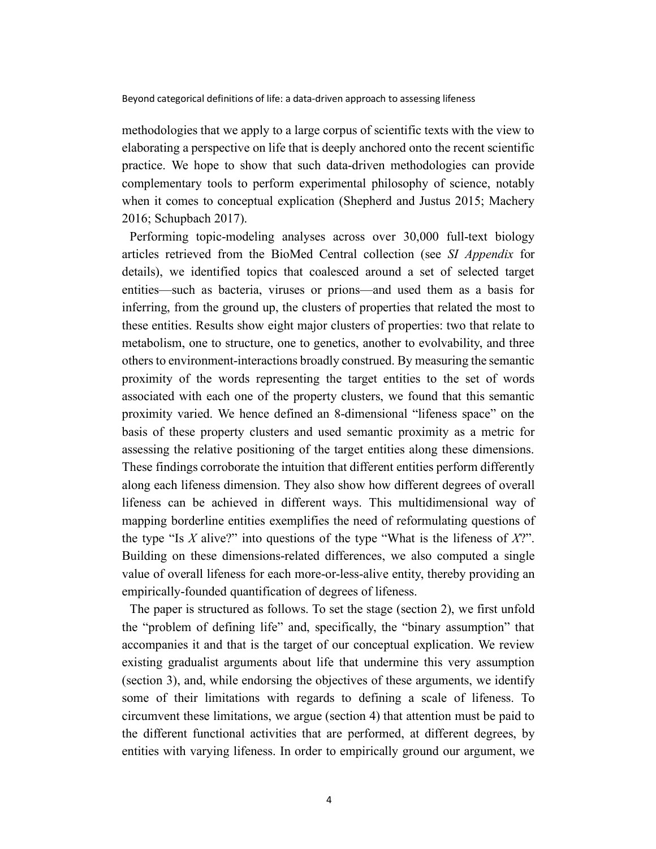methodologies that we apply to a large corpus of scientific texts with the view to elaborating a perspective on life that is deeply anchored onto the recent scientific practice. We hope to show that such data-driven methodologies can provide complementary tools to perform experimental philosophy of science, notably when it comes to conceptual explication (Shepherd and Justus 2015; Machery 2016; Schupbach 2017).

Performing topic-modeling analyses across over 30,000 full-text biology articles retrieved from the BioMed Central collection (see *SI Appendix* for details), we identified topics that coalesced around a set of selected target entities—such as bacteria, viruses or prions—and used them as a basis for inferring, from the ground up, the clusters of properties that related the most to these entities. Results show eight major clusters of properties: two that relate to metabolism, one to structure, one to genetics, another to evolvability, and three others to environment-interactions broadly construed. By measuring the semantic proximity of the words representing the target entities to the set of words associated with each one of the property clusters, we found that this semantic proximity varied. We hence defined an 8-dimensional "lifeness space" on the basis of these property clusters and used semantic proximity as a metric for assessing the relative positioning of the target entities along these dimensions. These findings corroborate the intuition that different entities perform differently along each lifeness dimension. They also show how different degrees of overall lifeness can be achieved in different ways. This multidimensional way of mapping borderline entities exemplifies the need of reformulating questions of the type "Is *X* alive?" into questions of the type "What is the lifeness of *X*?". Building on these dimensions-related differences, we also computed a single value of overall lifeness for each more-or-less-alive entity, thereby providing an empirically-founded quantification of degrees of lifeness.

The paper is structured as follows. To set the stage (section 2), we first unfold the "problem of defining life" and, specifically, the "binary assumption" that accompanies it and that is the target of our conceptual explication. We review existing gradualist arguments about life that undermine this very assumption (section 3), and, while endorsing the objectives of these arguments, we identify some of their limitations with regards to defining a scale of lifeness. To circumvent these limitations, we argue (section 4) that attention must be paid to the different functional activities that are performed, at different degrees, by entities with varying lifeness. In order to empirically ground our argument, we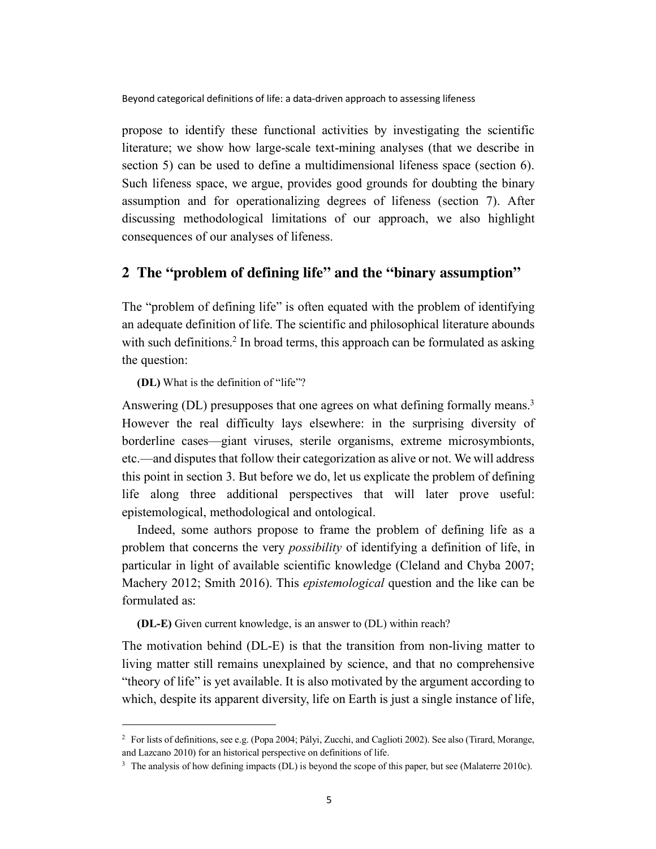propose to identify these functional activities by investigating the scientific literature; we show how large-scale text-mining analyses (that we describe in section 5) can be used to define a multidimensional lifeness space (section 6). Such lifeness space, we argue, provides good grounds for doubting the binary assumption and for operationalizing degrees of lifeness (section 7). After discussing methodological limitations of our approach, we also highlight consequences of our analyses of lifeness.

# **2 The "problem of defining life" and the "binary assumption"**

The "problem of defining life" is often equated with the problem of identifying an adequate definition of life. The scientific and philosophical literature abounds with such definitions.<sup>2</sup> In broad terms, this approach can be formulated as asking the question:

**(DL)** What is the definition of "life"?

Answering (DL) presupposes that one agrees on what defining formally means.<sup>3</sup> However the real difficulty lays elsewhere: in the surprising diversity of borderline cases—giant viruses, sterile organisms, extreme microsymbionts, etc.—and disputes that follow their categorization as alive or not. We will address this point in section 3. But before we do, let us explicate the problem of defining life along three additional perspectives that will later prove useful: epistemological, methodological and ontological.

Indeed, some authors propose to frame the problem of defining life as a problem that concerns the very *possibility* of identifying a definition of life, in particular in light of available scientific knowledge (Cleland and Chyba 2007; Machery 2012; Smith 2016). This *epistemological* question and the like can be formulated as:

**(DL-E)** Given current knowledge, is an answer to (DL) within reach?

The motivation behind (DL-E) is that the transition from non-living matter to living matter still remains unexplained by science, and that no comprehensive "theory of life" is yet available. It is also motivated by the argument according to which, despite its apparent diversity, life on Earth is just a single instance of life,

 <sup>2</sup> For lists of definitions, see e.g. (Popa 2004; Pályi, Zucchi, and Caglioti 2002). See also (Tirard, Morange, and Lazcano 2010) for an historical perspective on definitions of life.

<sup>&</sup>lt;sup>3</sup> The analysis of how defining impacts (DL) is beyond the scope of this paper, but see (Malaterre 2010c).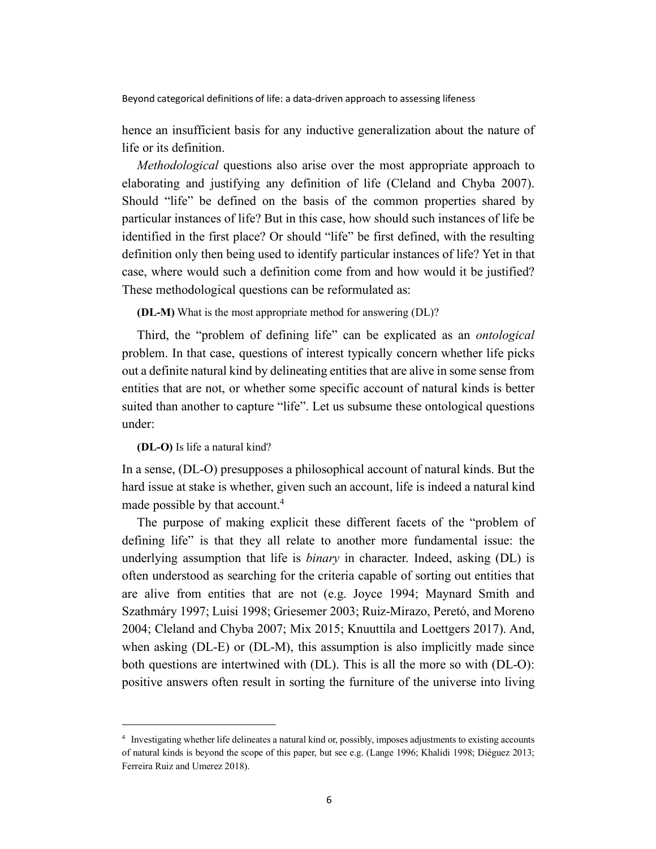hence an insufficient basis for any inductive generalization about the nature of life or its definition.

*Methodological* questions also arise over the most appropriate approach to elaborating and justifying any definition of life (Cleland and Chyba 2007). Should "life" be defined on the basis of the common properties shared by particular instances of life? But in this case, how should such instances of life be identified in the first place? Or should "life" be first defined, with the resulting definition only then being used to identify particular instances of life? Yet in that case, where would such a definition come from and how would it be justified? These methodological questions can be reformulated as:

**(DL-M)** What is the most appropriate method for answering (DL)?

Third, the "problem of defining life" can be explicated as an *ontological* problem. In that case, questions of interest typically concern whether life picks out a definite natural kind by delineating entities that are alive in some sense from entities that are not, or whether some specific account of natural kinds is better suited than another to capture "life". Let us subsume these ontological questions under:

#### **(DL-O)** Is life a natural kind?

In a sense, (DL-O) presupposes a philosophical account of natural kinds. But the hard issue at stake is whether, given such an account, life is indeed a natural kind made possible by that account.<sup>4</sup>

The purpose of making explicit these different facets of the "problem of defining life" is that they all relate to another more fundamental issue: the underlying assumption that life is *binary* in character. Indeed, asking (DL) is often understood as searching for the criteria capable of sorting out entities that are alive from entities that are not (e.g. Joyce 1994; Maynard Smith and Szathmáry 1997; Luisi 1998; Griesemer 2003; Ruiz-Mirazo, Peretó, and Moreno 2004; Cleland and Chyba 2007; Mix 2015; Knuuttila and Loettgers 2017). And, when asking (DL-E) or (DL-M), this assumption is also implicitly made since both questions are intertwined with (DL). This is all the more so with (DL-O): positive answers often result in sorting the furniture of the universe into living

 <sup>4</sup> Investigating whether life delineates a natural kind or, possibly, imposes adjustments to existing accounts of natural kinds is beyond the scope of this paper, but see e.g. (Lange 1996; Khalidi 1998; Diéguez 2013; Ferreira Ruiz and Umerez 2018).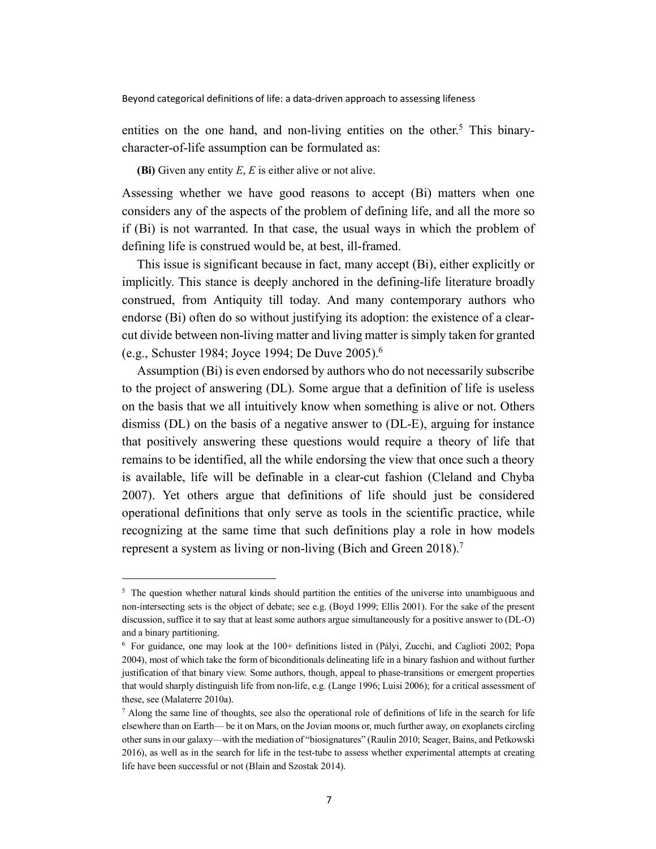entities on the one hand, and non-living entities on the other.<sup>5</sup> This binarycharacter-of-life assumption can be formulated as:

**(Bi)** Given any entity *E*, *E* is either alive or not alive.

Assessing whether we have good reasons to accept (Bi) matters when one considers any of the aspects of the problem of defining life, and all the more so if (Bi) is not warranted. In that case, the usual ways in which the problem of defining life is construed would be, at best, ill-framed.

This issue is significant because in fact, many accept (Bi), either explicitly or implicitly. This stance is deeply anchored in the defining-life literature broadly construed, from Antiquity till today. And many contemporary authors who endorse (Bi) often do so without justifying its adoption: the existence of a clearcut divide between non-living matter and living matter is simply taken for granted (e.g., Schuster 1984; Joyce 1994; De Duve 2005). 6

Assumption (Bi) is even endorsed by authors who do not necessarily subscribe to the project of answering (DL). Some argue that a definition of life is useless on the basis that we all intuitively know when something is alive or not. Others dismiss (DL) on the basis of a negative answer to (DL-E), arguing for instance that positively answering these questions would require a theory of life that remains to be identified, all the while endorsing the view that once such a theory is available, life will be definable in a clear-cut fashion (Cleland and Chyba 2007). Yet others argue that definitions of life should just be considered operational definitions that only serve as tools in the scientific practice, while recognizing at the same time that such definitions play a role in how models represent a system as living or non-living (Bich and Green 2018).<sup>7</sup>

<sup>&</sup>lt;sup>5</sup> The question whether natural kinds should partition the entities of the universe into unambiguous and non-intersecting sets is the object of debate; see e.g. (Boyd 1999; Ellis 2001). For the sake of the present discussion, suffice it to say that at least some authors argue simultaneously for a positive answer to (DL-O) and a binary partitioning.

<sup>6</sup> For guidance, one may look at the 100+ definitions listed in (Pályi, Zucchi, and Caglioti 2002; Popa 2004), most of which take the form of biconditionals delineating life in a binary fashion and without further justification of that binary view. Some authors, though, appeal to phase-transitions or emergent properties that would sharply distinguish life from non-life, e.g. (Lange 1996; Luisi 2006); for a critical assessment of these, see (Malaterre 2010a).

<sup>7</sup> Along the same line of thoughts, see also the operational role of definitions of life in the search for life elsewhere than on Earth— be it on Mars, on the Jovian moons or, much further away, on exoplanets circling other suns in our galaxy—with the mediation of "biosignatures" (Raulin 2010; Seager, Bains, and Petkowski 2016), as well as in the search for life in the test-tube to assess whether experimental attempts at creating life have been successful or not (Blain and Szostak 2014).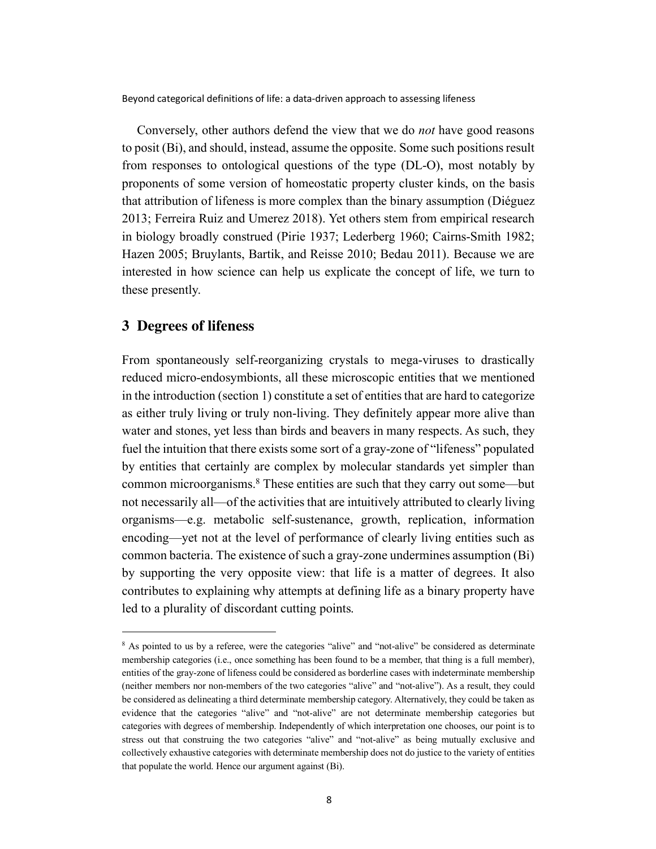Conversely, other authors defend the view that we do *not* have good reasons to posit (Bi), and should, instead, assume the opposite. Some such positions result from responses to ontological questions of the type (DL-O), most notably by proponents of some version of homeostatic property cluster kinds, on the basis that attribution of lifeness is more complex than the binary assumption (Diéguez 2013; Ferreira Ruiz and Umerez 2018). Yet others stem from empirical research in biology broadly construed (Pirie 1937; Lederberg 1960; Cairns-Smith 1982; Hazen 2005; Bruylants, Bartik, and Reisse 2010; Bedau 2011). Because we are interested in how science can help us explicate the concept of life, we turn to these presently.

### **3 Degrees of lifeness**

From spontaneously self-reorganizing crystals to mega-viruses to drastically reduced micro-endosymbionts, all these microscopic entities that we mentioned in the introduction (section 1) constitute a set of entities that are hard to categorize as either truly living or truly non-living. They definitely appear more alive than water and stones, yet less than birds and beavers in many respects. As such, they fuel the intuition that there exists some sort of a gray-zone of "lifeness" populated by entities that certainly are complex by molecular standards yet simpler than common microorganisms.8 These entities are such that they carry out some—but not necessarily all—of the activities that are intuitively attributed to clearly living organisms—e.g. metabolic self-sustenance, growth, replication, information encoding—yet not at the level of performance of clearly living entities such as common bacteria. The existence of such a gray-zone undermines assumption (Bi) by supporting the very opposite view: that life is a matter of degrees. It also contributes to explaining why attempts at defining life as a binary property have led to a plurality of discordant cutting points.

<sup>&</sup>lt;sup>8</sup> As pointed to us by a referee, were the categories "alive" and "not-alive" be considered as determinate membership categories (i.e., once something has been found to be a member, that thing is a full member), entities of the gray-zone of lifeness could be considered as borderline cases with indeterminate membership (neither members nor non-members of the two categories "alive" and "not-alive"). As a result, they could be considered as delineating a third determinate membership category. Alternatively, they could be taken as evidence that the categories "alive" and "not-alive" are not determinate membership categories but categories with degrees of membership. Independently of which interpretation one chooses, our point is to stress out that construing the two categories "alive" and "not-alive" as being mutually exclusive and collectively exhaustive categories with determinate membership does not do justice to the variety of entities that populate the world. Hence our argument against (Bi).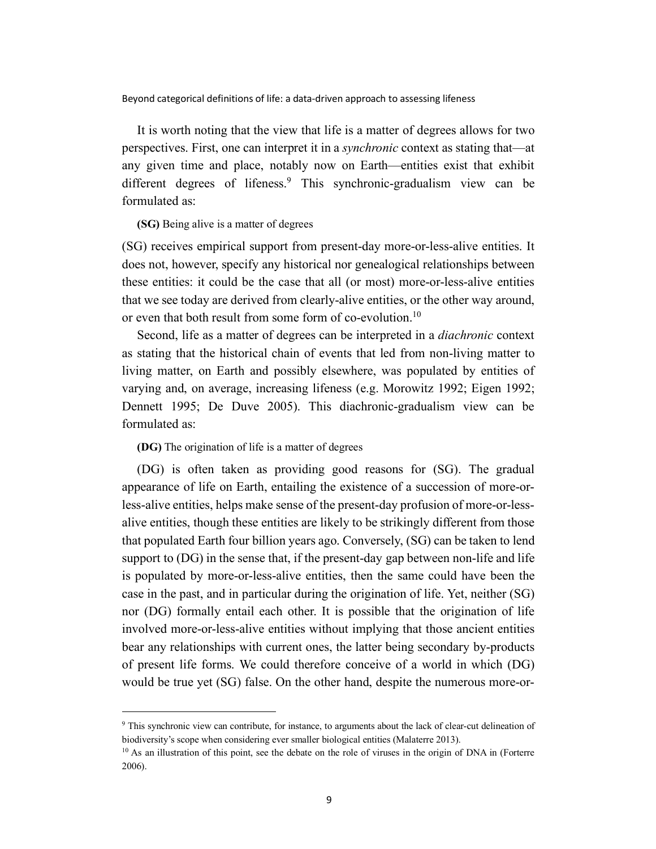It is worth noting that the view that life is a matter of degrees allows for two perspectives. First, one can interpret it in a *synchronic* context as stating that—at any given time and place, notably now on Earth—entities exist that exhibit different degrees of lifeness.<sup>9</sup> This synchronic-gradualism view can be formulated as:

#### **(SG)** Being alive is a matter of degrees

(SG) receives empirical support from present-day more-or-less-alive entities. It does not, however, specify any historical nor genealogical relationships between these entities: it could be the case that all (or most) more-or-less-alive entities that we see today are derived from clearly-alive entities, or the other way around, or even that both result from some form of co-evolution.10

Second, life as a matter of degrees can be interpreted in a *diachronic* context as stating that the historical chain of events that led from non-living matter to living matter, on Earth and possibly elsewhere, was populated by entities of varying and, on average, increasing lifeness (e.g. Morowitz 1992; Eigen 1992; Dennett 1995; De Duve 2005). This diachronic-gradualism view can be formulated as:

#### **(DG)** The origination of life is a matter of degrees

(DG) is often taken as providing good reasons for (SG). The gradual appearance of life on Earth, entailing the existence of a succession of more-orless-alive entities, helps make sense of the present-day profusion of more-or-lessalive entities, though these entities are likely to be strikingly different from those that populated Earth four billion years ago. Conversely, (SG) can be taken to lend support to (DG) in the sense that, if the present-day gap between non-life and life is populated by more-or-less-alive entities, then the same could have been the case in the past, and in particular during the origination of life. Yet, neither (SG) nor (DG) formally entail each other. It is possible that the origination of life involved more-or-less-alive entities without implying that those ancient entities bear any relationships with current ones, the latter being secondary by-products of present life forms. We could therefore conceive of a world in which (DG) would be true yet (SG) false. On the other hand, despite the numerous more-or-

 <sup>9</sup> This synchronic view can contribute, for instance, to arguments about the lack of clear-cut delineation of biodiversity's scope when considering ever smaller biological entities (Malaterre 2013).

<sup>&</sup>lt;sup>10</sup> As an illustration of this point, see the debate on the role of viruses in the origin of DNA in (Forterre 2006).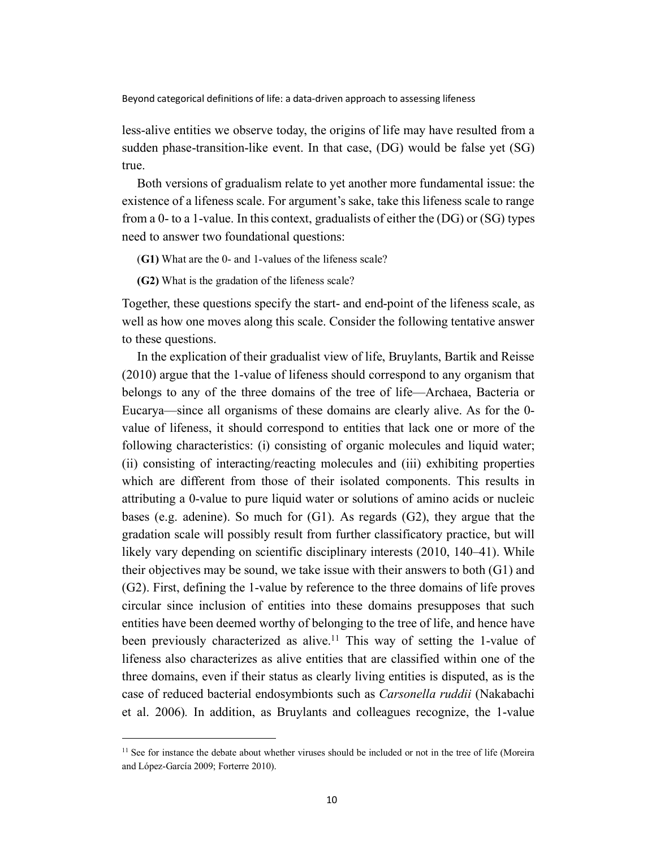less-alive entities we observe today, the origins of life may have resulted from a sudden phase-transition-like event. In that case, (DG) would be false yet (SG) true.

Both versions of gradualism relate to yet another more fundamental issue: the existence of a lifeness scale. For argument's sake, take this lifeness scale to range from a 0- to a 1-value. In this context, gradualists of either the (DG) or (SG) types need to answer two foundational questions:

(**G1)** What are the 0- and 1-values of the lifeness scale?

**(G2)** What is the gradation of the lifeness scale?

Together, these questions specify the start- and end-point of the lifeness scale, as well as how one moves along this scale. Consider the following tentative answer to these questions.

In the explication of their gradualist view of life, Bruylants, Bartik and Reisse (2010) argue that the 1-value of lifeness should correspond to any organism that belongs to any of the three domains of the tree of life—Archaea, Bacteria or Eucarya—since all organisms of these domains are clearly alive. As for the 0 value of lifeness, it should correspond to entities that lack one or more of the following characteristics: (i) consisting of organic molecules and liquid water; (ii) consisting of interacting/reacting molecules and (iii) exhibiting properties which are different from those of their isolated components. This results in attributing a 0-value to pure liquid water or solutions of amino acids or nucleic bases (e.g. adenine). So much for (G1). As regards (G2), they argue that the gradation scale will possibly result from further classificatory practice, but will likely vary depending on scientific disciplinary interests (2010, 140–41). While their objectives may be sound, we take issue with their answers to both (G1) and (G2). First, defining the 1-value by reference to the three domains of life proves circular since inclusion of entities into these domains presupposes that such entities have been deemed worthy of belonging to the tree of life, and hence have been previously characterized as alive.<sup>11</sup> This way of setting the 1-value of lifeness also characterizes as alive entities that are classified within one of the three domains, even if their status as clearly living entities is disputed, as is the case of reduced bacterial endosymbionts such as *Carsonella ruddii* (Nakabachi et al. 2006)*.* In addition, as Bruylants and colleagues recognize, the 1-value

<sup>&</sup>lt;sup>11</sup> See for instance the debate about whether viruses should be included or not in the tree of life (Moreira and López-García 2009; Forterre 2010).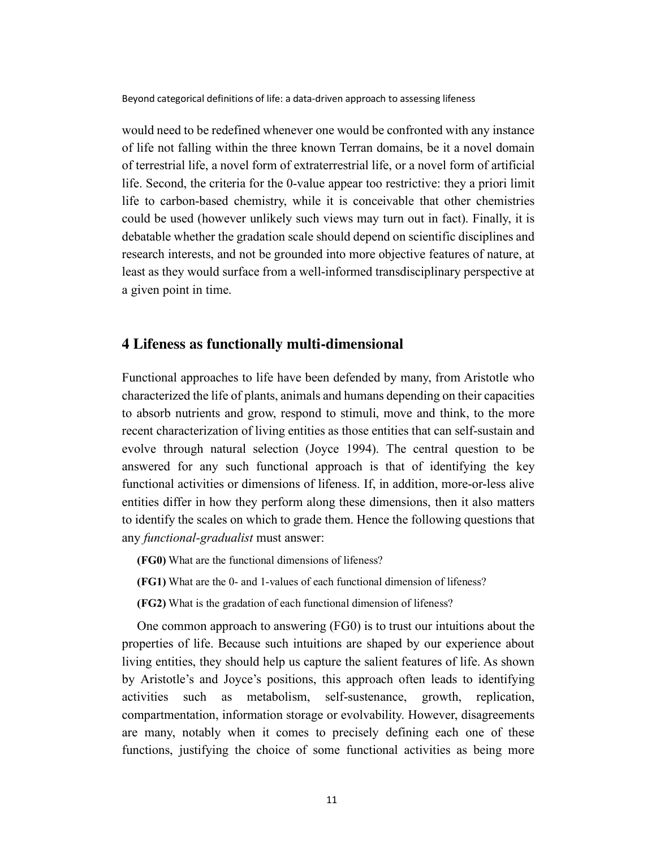would need to be redefined whenever one would be confronted with any instance of life not falling within the three known Terran domains, be it a novel domain of terrestrial life, a novel form of extraterrestrial life, or a novel form of artificial life. Second, the criteria for the 0-value appear too restrictive: they a priori limit life to carbon-based chemistry, while it is conceivable that other chemistries could be used (however unlikely such views may turn out in fact). Finally, it is debatable whether the gradation scale should depend on scientific disciplines and research interests, and not be grounded into more objective features of nature, at least as they would surface from a well-informed transdisciplinary perspective at a given point in time.

#### **4 Lifeness as functionally multi-dimensional**

Functional approaches to life have been defended by many, from Aristotle who characterized the life of plants, animals and humans depending on their capacities to absorb nutrients and grow, respond to stimuli, move and think, to the more recent characterization of living entities as those entities that can self-sustain and evolve through natural selection (Joyce 1994). The central question to be answered for any such functional approach is that of identifying the key functional activities or dimensions of lifeness. If, in addition, more-or-less alive entities differ in how they perform along these dimensions, then it also matters to identify the scales on which to grade them. Hence the following questions that any *functional-gradualist* must answer:

**(FG0)** What are the functional dimensions of lifeness?

**(FG1)** What are the 0- and 1-values of each functional dimension of lifeness?

**(FG2)** What is the gradation of each functional dimension of lifeness?

One common approach to answering (FG0) is to trust our intuitions about the properties of life. Because such intuitions are shaped by our experience about living entities, they should help us capture the salient features of life. As shown by Aristotle's and Joyce's positions, this approach often leads to identifying activities such as metabolism, self-sustenance, growth, replication, compartmentation, information storage or evolvability. However, disagreements are many, notably when it comes to precisely defining each one of these functions, justifying the choice of some functional activities as being more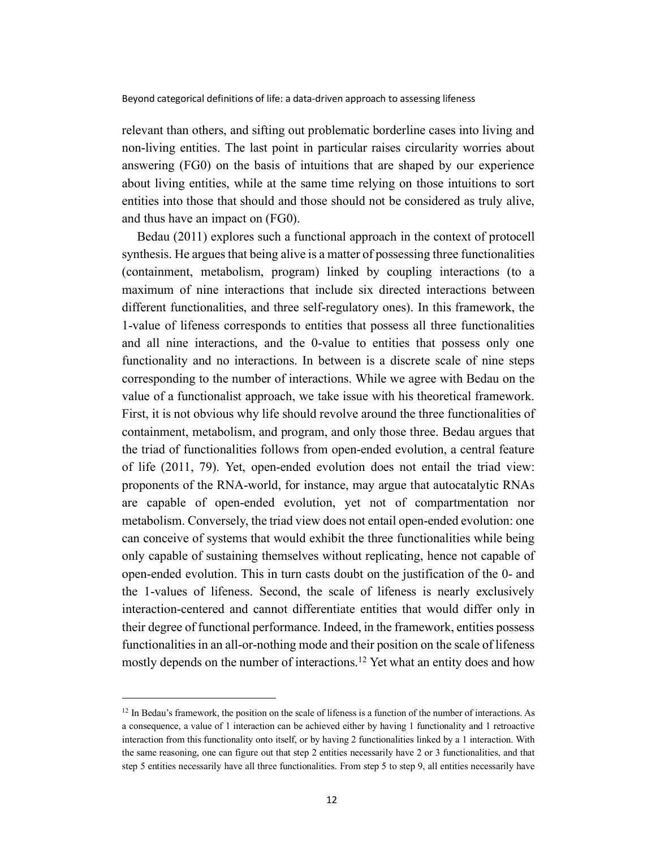relevant than others, and sifting out problematic borderline cases into living and non-living entities. The last point in particular raises circularity worries about answering (FG0) on the basis of intuitions that are shaped by our experience about living entities, while at the same time relying on those intuitions to sort entities into those that should and those should not be considered as truly alive, and thus have an impact on (FG0).

Bedau (2011) explores such a functional approach in the context of protocell synthesis. He argues that being alive is a matter of possessing three functionalities (containment, metabolism, program) linked by coupling interactions (to a maximum of nine interactions that include six directed interactions between different functionalities, and three self-regulatory ones). In this framework, the 1-value of lifeness corresponds to entities that possess all three functionalities and all nine interactions, and the 0-value to entities that possess only one functionality and no interactions. In between is a discrete scale of nine steps corresponding to the number of interactions. While we agree with Bedau on the value of a functionalist approach, we take issue with his theoretical framework. First, it is not obvious why life should revolve around the three functionalities of containment, metabolism, and program, and only those three. Bedau argues that the triad of functionalities follows from open-ended evolution, a central feature of life (2011, 79). Yet, open-ended evolution does not entail the triad view: proponents of the RNA-world, for instance, may argue that autocatalytic RNAs are capable of open-ended evolution, yet not of compartmentation nor metabolism. Conversely, the triad view does not entail open-ended evolution: one can conceive of systems that would exhibit the three functionalities while being only capable of sustaining themselves without replicating, hence not capable of open-ended evolution. This in turn casts doubt on the justification of the 0- and the 1-values of lifeness. Second, the scale of lifeness is nearly exclusively interaction-centered and cannot differentiate entities that would differ only in their degree of functional performance. Indeed, in the framework, entities possess functionalities in an all-or-nothing mode and their position on the scale of lifeness mostly depends on the number of interactions.<sup>12</sup> Yet what an entity does and how

<sup>&</sup>lt;sup>12</sup> In Bedau's framework, the position on the scale of lifeness is a function of the number of interactions. As a consequence, a value of 1 interaction can be achieved either by having 1 functionality and 1 retroactive interaction from this functionality onto itself, or by having 2 functionalities linked by a 1 interaction. With the same reasoning, one can figure out that step 2 entities necessarily have 2 or 3 functionalities, and that step 5 entities necessarily have all three functionalities. From step 5 to step 9, all entities necessarily have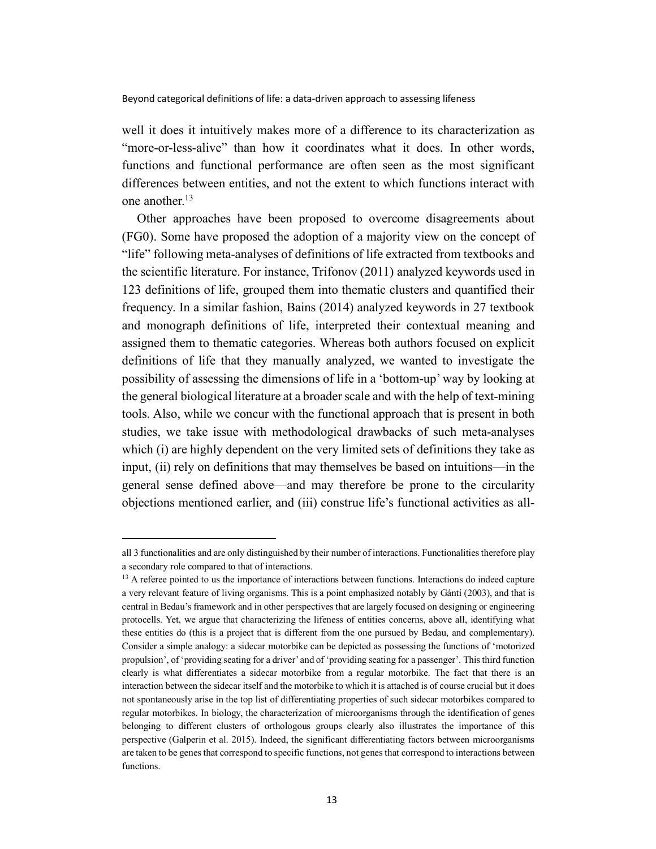well it does it intuitively makes more of a difference to its characterization as "more-or-less-alive" than how it coordinates what it does. In other words, functions and functional performance are often seen as the most significant differences between entities, and not the extent to which functions interact with one another.13

Other approaches have been proposed to overcome disagreements about (FG0). Some have proposed the adoption of a majority view on the concept of "life" following meta-analyses of definitions of life extracted from textbooks and the scientific literature. For instance, Trifonov (2011) analyzed keywords used in 123 definitions of life, grouped them into thematic clusters and quantified their frequency. In a similar fashion, Bains (2014) analyzed keywords in 27 textbook and monograph definitions of life, interpreted their contextual meaning and assigned them to thematic categories. Whereas both authors focused on explicit definitions of life that they manually analyzed, we wanted to investigate the possibility of assessing the dimensions of life in a 'bottom-up' way by looking at the general biological literature at a broader scale and with the help of text-mining tools. Also, while we concur with the functional approach that is present in both studies, we take issue with methodological drawbacks of such meta-analyses which (i) are highly dependent on the very limited sets of definitions they take as input, (ii) rely on definitions that may themselves be based on intuitions—in the general sense defined above—and may therefore be prone to the circularity objections mentioned earlier, and (iii) construe life's functional activities as all-

1

all 3 functionalities and are only distinguished by their number of interactions. Functionalities therefore play a secondary role compared to that of interactions.

<sup>&</sup>lt;sup>13</sup> A referee pointed to us the importance of interactions between functions. Interactions do indeed capture a very relevant feature of living organisms. This is a point emphasized notably by Gántí (2003), and that is central in Bedau's framework and in other perspectives that are largely focused on designing or engineering protocells. Yet, we argue that characterizing the lifeness of entities concerns, above all, identifying what these entities do (this is a project that is different from the one pursued by Bedau, and complementary). Consider a simple analogy: a sidecar motorbike can be depicted as possessing the functions of 'motorized propulsion', of 'providing seating for a driver' and of 'providing seating for a passenger'. This third function clearly is what differentiates a sidecar motorbike from a regular motorbike. The fact that there is an interaction between the sidecar itself and the motorbike to which it is attached is of course crucial but it does not spontaneously arise in the top list of differentiating properties of such sidecar motorbikes compared to regular motorbikes. In biology, the characterization of microorganisms through the identification of genes belonging to different clusters of orthologous groups clearly also illustrates the importance of this perspective (Galperin et al. 2015). Indeed, the significant differentiating factors between microorganisms are taken to be genes that correspond to specific functions, not genes that correspond to interactions between functions.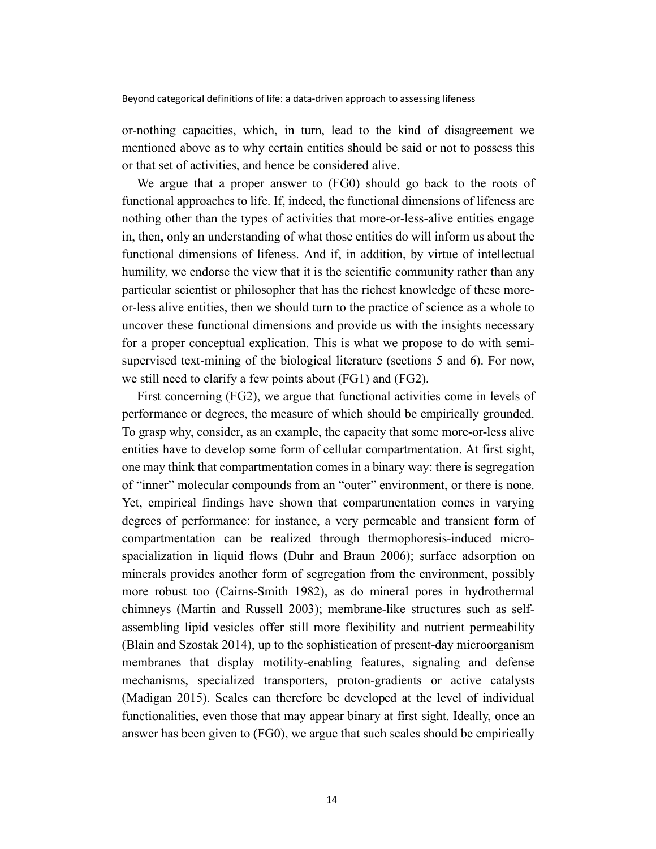or-nothing capacities, which, in turn, lead to the kind of disagreement we mentioned above as to why certain entities should be said or not to possess this or that set of activities, and hence be considered alive.

We argue that a proper answer to (FG0) should go back to the roots of functional approaches to life. If, indeed, the functional dimensions of lifeness are nothing other than the types of activities that more-or-less-alive entities engage in, then, only an understanding of what those entities do will inform us about the functional dimensions of lifeness. And if, in addition, by virtue of intellectual humility, we endorse the view that it is the scientific community rather than any particular scientist or philosopher that has the richest knowledge of these moreor-less alive entities, then we should turn to the practice of science as a whole to uncover these functional dimensions and provide us with the insights necessary for a proper conceptual explication. This is what we propose to do with semisupervised text-mining of the biological literature (sections 5 and 6). For now, we still need to clarify a few points about (FG1) and (FG2).

First concerning (FG2), we argue that functional activities come in levels of performance or degrees, the measure of which should be empirically grounded. To grasp why, consider, as an example, the capacity that some more-or-less alive entities have to develop some form of cellular compartmentation. At first sight, one may think that compartmentation comes in a binary way: there is segregation of "inner" molecular compounds from an "outer" environment, or there is none. Yet, empirical findings have shown that compartmentation comes in varying degrees of performance: for instance, a very permeable and transient form of compartmentation can be realized through thermophoresis-induced microspacialization in liquid flows (Duhr and Braun 2006); surface adsorption on minerals provides another form of segregation from the environment, possibly more robust too (Cairns-Smith 1982), as do mineral pores in hydrothermal chimneys (Martin and Russell 2003); membrane-like structures such as selfassembling lipid vesicles offer still more flexibility and nutrient permeability (Blain and Szostak 2014), up to the sophistication of present-day microorganism membranes that display motility-enabling features, signaling and defense mechanisms, specialized transporters, proton-gradients or active catalysts (Madigan 2015). Scales can therefore be developed at the level of individual functionalities, even those that may appear binary at first sight. Ideally, once an answer has been given to (FG0), we argue that such scales should be empirically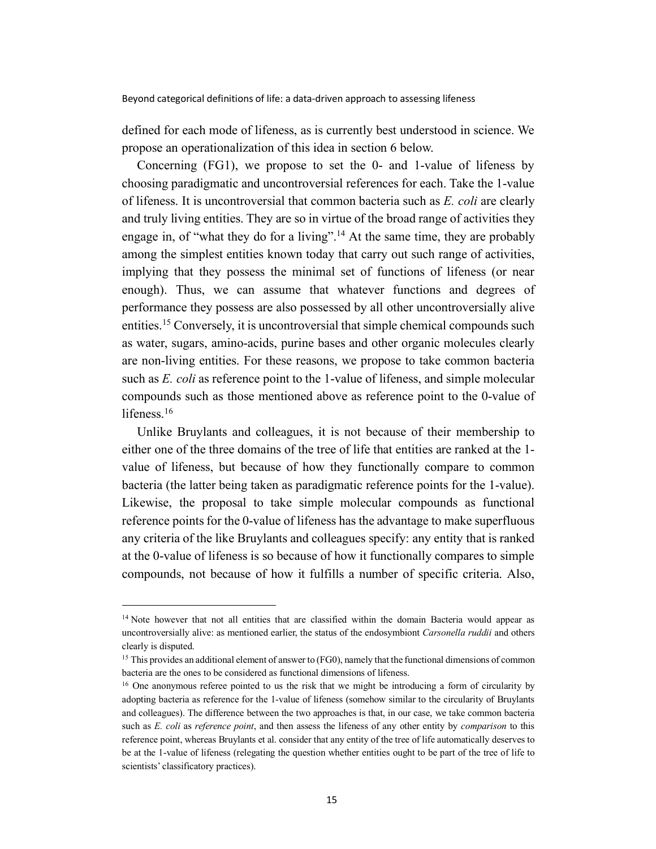defined for each mode of lifeness, as is currently best understood in science. We propose an operationalization of this idea in section 6 below.

Concerning (FG1), we propose to set the 0- and 1-value of lifeness by choosing paradigmatic and uncontroversial references for each. Take the 1-value of lifeness. It is uncontroversial that common bacteria such as *E. coli* are clearly and truly living entities. They are so in virtue of the broad range of activities they engage in, of "what they do for a living".14 At the same time, they are probably among the simplest entities known today that carry out such range of activities, implying that they possess the minimal set of functions of lifeness (or near enough). Thus, we can assume that whatever functions and degrees of performance they possess are also possessed by all other uncontroversially alive entities.15 Conversely, it is uncontroversial that simple chemical compounds such as water, sugars, amino-acids, purine bases and other organic molecules clearly are non-living entities. For these reasons, we propose to take common bacteria such as *E. coli* as reference point to the 1-value of lifeness, and simple molecular compounds such as those mentioned above as reference point to the 0-value of lifeness.<sup>16</sup>

Unlike Bruylants and colleagues, it is not because of their membership to either one of the three domains of the tree of life that entities are ranked at the 1 value of lifeness, but because of how they functionally compare to common bacteria (the latter being taken as paradigmatic reference points for the 1-value). Likewise, the proposal to take simple molecular compounds as functional reference points for the 0-value of lifeness has the advantage to make superfluous any criteria of the like Bruylants and colleagues specify: any entity that is ranked at the 0-value of lifeness is so because of how it functionally compares to simple compounds, not because of how it fulfills a number of specific criteria. Also,

<sup>&</sup>lt;sup>14</sup> Note however that not all entities that are classified within the domain Bacteria would appear as uncontroversially alive: as mentioned earlier, the status of the endosymbiont *Carsonella ruddii* and others clearly is disputed.

<sup>&</sup>lt;sup>15</sup> This provides an additional element of answer to (FG0), namely that the functional dimensions of common bacteria are the ones to be considered as functional dimensions of lifeness.

<sup>&</sup>lt;sup>16</sup> One anonymous referee pointed to us the risk that we might be introducing a form of circularity by adopting bacteria as reference for the 1-value of lifeness (somehow similar to the circularity of Bruylants and colleagues). The difference between the two approaches is that, in our case, we take common bacteria such as *E. coli* as *reference point*, and then assess the lifeness of any other entity by *comparison* to this reference point, whereas Bruylants et al. consider that any entity of the tree of life automatically deserves to be at the 1-value of lifeness (relegating the question whether entities ought to be part of the tree of life to scientists' classificatory practices).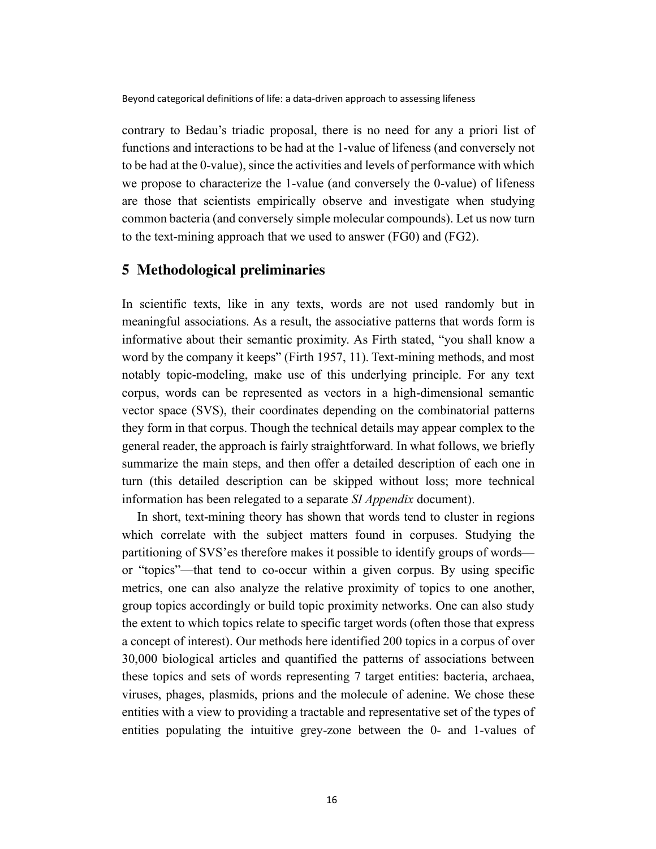contrary to Bedau's triadic proposal, there is no need for any a priori list of functions and interactions to be had at the 1-value of lifeness (and conversely not to be had at the 0-value), since the activities and levels of performance with which we propose to characterize the 1-value (and conversely the 0-value) of lifeness are those that scientists empirically observe and investigate when studying common bacteria (and conversely simple molecular compounds). Let us now turn to the text-mining approach that we used to answer (FG0) and (FG2).

### **5 Methodological preliminaries**

In scientific texts, like in any texts, words are not used randomly but in meaningful associations. As a result, the associative patterns that words form is informative about their semantic proximity. As Firth stated, "you shall know a word by the company it keeps" (Firth 1957, 11). Text-mining methods, and most notably topic-modeling, make use of this underlying principle. For any text corpus, words can be represented as vectors in a high-dimensional semantic vector space (SVS), their coordinates depending on the combinatorial patterns they form in that corpus. Though the technical details may appear complex to the general reader, the approach is fairly straightforward. In what follows, we briefly summarize the main steps, and then offer a detailed description of each one in turn (this detailed description can be skipped without loss; more technical information has been relegated to a separate *SI Appendix* document).

In short, text-mining theory has shown that words tend to cluster in regions which correlate with the subject matters found in corpuses. Studying the partitioning of SVS'es therefore makes it possible to identify groups of words or "topics"—that tend to co-occur within a given corpus. By using specific metrics, one can also analyze the relative proximity of topics to one another, group topics accordingly or build topic proximity networks. One can also study the extent to which topics relate to specific target words (often those that express a concept of interest). Our methods here identified 200 topics in a corpus of over 30,000 biological articles and quantified the patterns of associations between these topics and sets of words representing 7 target entities: bacteria, archaea, viruses, phages, plasmids, prions and the molecule of adenine. We chose these entities with a view to providing a tractable and representative set of the types of entities populating the intuitive grey-zone between the 0- and 1-values of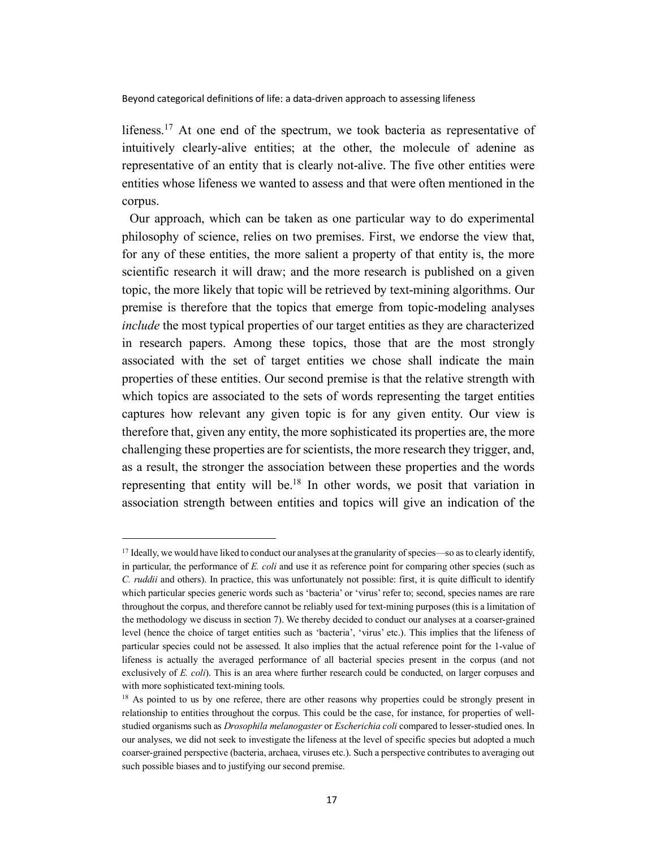lifeness.<sup>17</sup> At one end of the spectrum, we took bacteria as representative of intuitively clearly-alive entities; at the other, the molecule of adenine as representative of an entity that is clearly not-alive. The five other entities were entities whose lifeness we wanted to assess and that were often mentioned in the corpus.

Our approach, which can be taken as one particular way to do experimental philosophy of science, relies on two premises. First, we endorse the view that, for any of these entities, the more salient a property of that entity is, the more scientific research it will draw; and the more research is published on a given topic, the more likely that topic will be retrieved by text-mining algorithms. Our premise is therefore that the topics that emerge from topic-modeling analyses *include* the most typical properties of our target entities as they are characterized in research papers. Among these topics, those that are the most strongly associated with the set of target entities we chose shall indicate the main properties of these entities. Our second premise is that the relative strength with which topics are associated to the sets of words representing the target entities captures how relevant any given topic is for any given entity. Our view is therefore that, given any entity, the more sophisticated its properties are, the more challenging these properties are for scientists, the more research they trigger, and, as a result, the stronger the association between these properties and the words representing that entity will be.<sup>18</sup> In other words, we posit that variation in association strength between entities and topics will give an indication of the

<sup>&</sup>lt;sup>17</sup> Ideally, we would have liked to conduct our analyses at the granularity of species—so as to clearly identify, in particular, the performance of *E. coli* and use it as reference point for comparing other species (such as *C. ruddii* and others). In practice, this was unfortunately not possible: first, it is quite difficult to identify which particular species generic words such as 'bacteria' or 'virus' refer to; second, species names are rare throughout the corpus, and therefore cannot be reliably used for text-mining purposes (this is a limitation of the methodology we discuss in section 7). We thereby decided to conduct our analyses at a coarser-grained level (hence the choice of target entities such as 'bacteria', 'virus' etc.). This implies that the lifeness of particular species could not be assessed. It also implies that the actual reference point for the 1-value of lifeness is actually the averaged performance of all bacterial species present in the corpus (and not exclusively of *E. coli*). This is an area where further research could be conducted, on larger corpuses and with more sophisticated text-mining tools.

<sup>&</sup>lt;sup>18</sup> As pointed to us by one referee, there are other reasons why properties could be strongly present in relationship to entities throughout the corpus. This could be the case, for instance, for properties of wellstudied organisms such as *Drosophila melanogaster* or *Escherichia coli* compared to lesser-studied ones. In our analyses, we did not seek to investigate the lifeness at the level of specific species but adopted a much coarser-grained perspective (bacteria, archaea, viruses etc.). Such a perspective contributes to averaging out such possible biases and to justifying our second premise.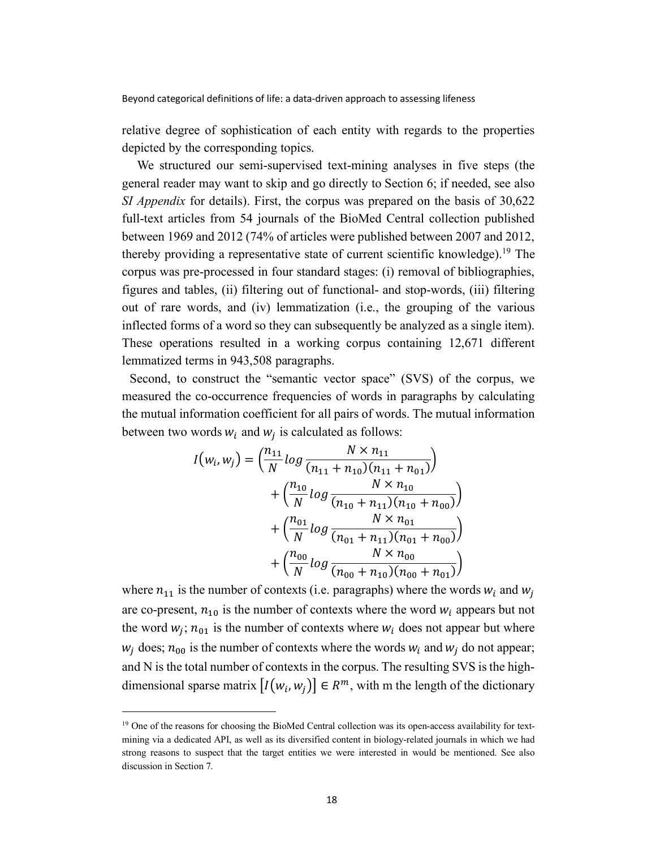relative degree of sophistication of each entity with regards to the properties depicted by the corresponding topics.

We structured our semi-supervised text-mining analyses in five steps (the general reader may want to skip and go directly to Section 6; if needed, see also *SI Appendix* for details). First, the corpus was prepared on the basis of 30,622 full-text articles from 54 journals of the BioMed Central collection published between 1969 and 2012 (74% of articles were published between 2007 and 2012, thereby providing a representative state of current scientific knowledge).19 The corpus was pre-processed in four standard stages: (i) removal of bibliographies, figures and tables, (ii) filtering out of functional- and stop-words, (iii) filtering out of rare words, and (iv) lemmatization (i.e., the grouping of the various inflected forms of a word so they can subsequently be analyzed as a single item). These operations resulted in a working corpus containing 12,671 different lemmatized terms in 943,508 paragraphs.

Second, to construct the "semantic vector space" (SVS) of the corpus, we measured the co-occurrence frequencies of words in paragraphs by calculating the mutual information coefficient for all pairs of words. The mutual information between two words  $w_i$  and  $w_j$  is calculated as follows:

$$
I(w_i, w_j) = \left(\frac{n_{11}}{N} \log \frac{N \times n_{11}}{(n_{11} + n_{10})(n_{11} + n_{01})}\right) + \left(\frac{n_{10}}{N} \log \frac{N \times n_{10}}{(n_{10} + n_{11})(n_{10} + n_{00})}\right) + \left(\frac{n_{01}}{N} \log \frac{N \times n_{01}}{(n_{01} + n_{11})(n_{01} + n_{00})}\right) + \left(\frac{n_{00}}{N} \log \frac{N \times n_{00}}{(n_{00} + n_{10})(n_{00} + n_{01})}\right)
$$

where  $n_{11}$  is the number of contexts (i.e. paragraphs) where the words  $w_i$  and  $w_j$ are co-present,  $n_{10}$  is the number of contexts where the word  $w_i$  appears but not the word  $w_i$ ;  $n_{01}$  is the number of contexts where  $w_i$  does not appear but where  $w_i$  does;  $n_{00}$  is the number of contexts where the words  $w_i$  and  $w_j$  do not appear; and N is the total number of contexts in the corpus. The resulting SVS is the highdimensional sparse matrix  $[I(w_i, w_j)] \in R^m$ , with m the length of the dictionary

<sup>&</sup>lt;sup>19</sup> One of the reasons for choosing the BioMed Central collection was its open-access availability for textmining via a dedicated API, as well as its diversified content in biology-related journals in which we had strong reasons to suspect that the target entities we were interested in would be mentioned. See also discussion in Section 7.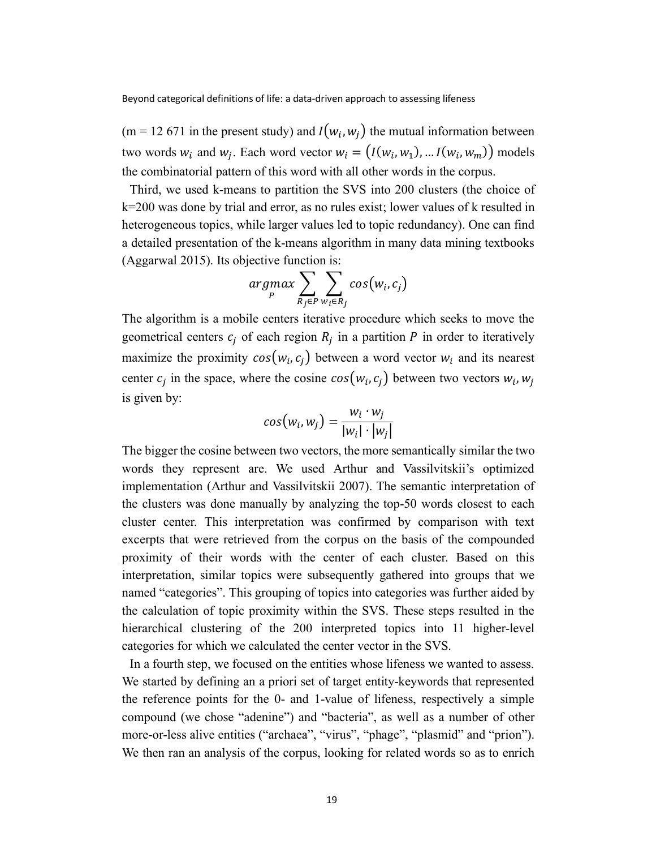(m = 12 671 in the present study) and  $I(w_i, w_i)$  the mutual information between two words  $w_i$  and  $w_j$ . Each word vector  $w_i = (I(w_i, w_1), \dots I(w_i, w_m))$  models the combinatorial pattern of this word with all other words in the corpus.

Third, we used k-means to partition the SVS into 200 clusters (the choice of k=200 was done by trial and error, as no rules exist; lower values of k resulted in heterogeneous topics, while larger values led to topic redundancy). One can find a detailed presentation of the k-means algorithm in many data mining textbooks (Aggarwal 2015). Its objective function is:

$$
argmax_{P} \sum_{R_j \in P} \sum_{w_i \in R_j} cos(w_i, c_j)
$$

The algorithm is a mobile centers iterative procedure which seeks to move the geometrical centers  $c_i$  of each region  $R_i$  in a partition P in order to iteratively maximize the proximity  $cos(w_i, c_j)$  between a word vector  $w_i$  and its nearest center  $c_i$  in the space, where the cosine  $cos(w_i, c_i)$  between two vectors  $w_i, w_i$ is given by:

$$
cos(w_i, w_j) = \frac{w_i \cdot w_j}{|w_i| \cdot |w_j|}
$$

The bigger the cosine between two vectors, the more semantically similar the two words they represent are. We used Arthur and Vassilvitskii's optimized implementation (Arthur and Vassilvitskii 2007). The semantic interpretation of the clusters was done manually by analyzing the top-50 words closest to each cluster center. This interpretation was confirmed by comparison with text excerpts that were retrieved from the corpus on the basis of the compounded proximity of their words with the center of each cluster. Based on this interpretation, similar topics were subsequently gathered into groups that we named "categories". This grouping of topics into categories was further aided by the calculation of topic proximity within the SVS. These steps resulted in the hierarchical clustering of the 200 interpreted topics into 11 higher-level categories for which we calculated the center vector in the SVS.

In a fourth step, we focused on the entities whose lifeness we wanted to assess. We started by defining an a priori set of target entity-keywords that represented the reference points for the 0- and 1-value of lifeness, respectively a simple compound (we chose "adenine") and "bacteria", as well as a number of other more-or-less alive entities ("archaea", "virus", "phage", "plasmid" and "prion"). We then ran an analysis of the corpus, looking for related words so as to enrich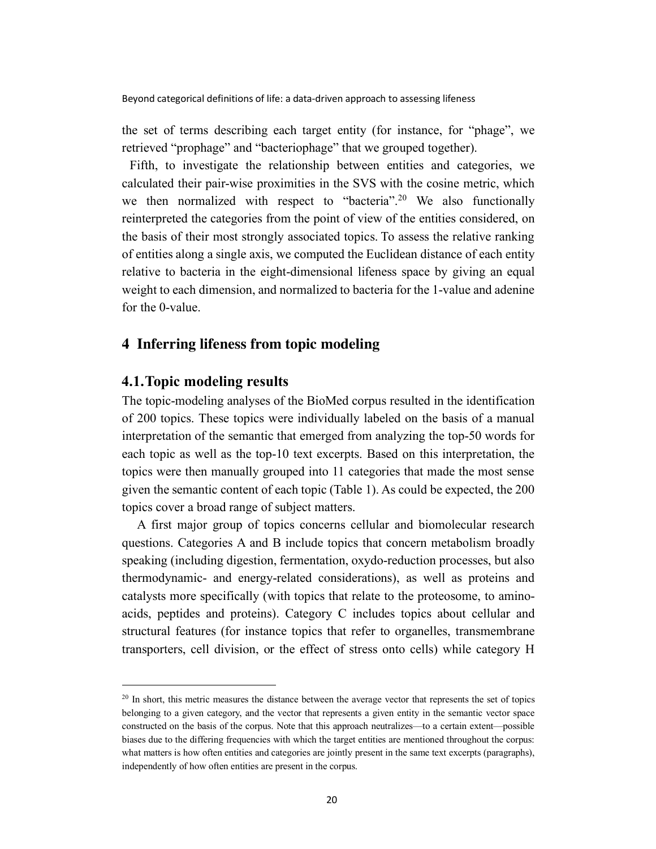the set of terms describing each target entity (for instance, for "phage", we retrieved "prophage" and "bacteriophage" that we grouped together).

Fifth, to investigate the relationship between entities and categories, we calculated their pair-wise proximities in the SVS with the cosine metric, which we then normalized with respect to "bacteria".<sup>20</sup> We also functionally reinterpreted the categories from the point of view of the entities considered, on the basis of their most strongly associated topics. To assess the relative ranking of entities along a single axis, we computed the Euclidean distance of each entity relative to bacteria in the eight-dimensional lifeness space by giving an equal weight to each dimension, and normalized to bacteria for the 1-value and adenine for the 0-value.

### **4 Inferring lifeness from topic modeling**

#### **4.1.Topic modeling results**

The topic-modeling analyses of the BioMed corpus resulted in the identification of 200 topics. These topics were individually labeled on the basis of a manual interpretation of the semantic that emerged from analyzing the top-50 words for each topic as well as the top-10 text excerpts. Based on this interpretation, the topics were then manually grouped into 11 categories that made the most sense given the semantic content of each topic (Table 1). As could be expected, the 200 topics cover a broad range of subject matters.

A first major group of topics concerns cellular and biomolecular research questions. Categories A and B include topics that concern metabolism broadly speaking (including digestion, fermentation, oxydo-reduction processes, but also thermodynamic- and energy-related considerations), as well as proteins and catalysts more specifically (with topics that relate to the proteosome, to aminoacids, peptides and proteins). Category C includes topics about cellular and structural features (for instance topics that refer to organelles, transmembrane transporters, cell division, or the effect of stress onto cells) while category H

<sup>&</sup>lt;sup>20</sup> In short, this metric measures the distance between the average vector that represents the set of topics belonging to a given category, and the vector that represents a given entity in the semantic vector space constructed on the basis of the corpus. Note that this approach neutralizes—to a certain extent—possible biases due to the differing frequencies with which the target entities are mentioned throughout the corpus: what matters is how often entities and categories are jointly present in the same text excerpts (paragraphs), independently of how often entities are present in the corpus.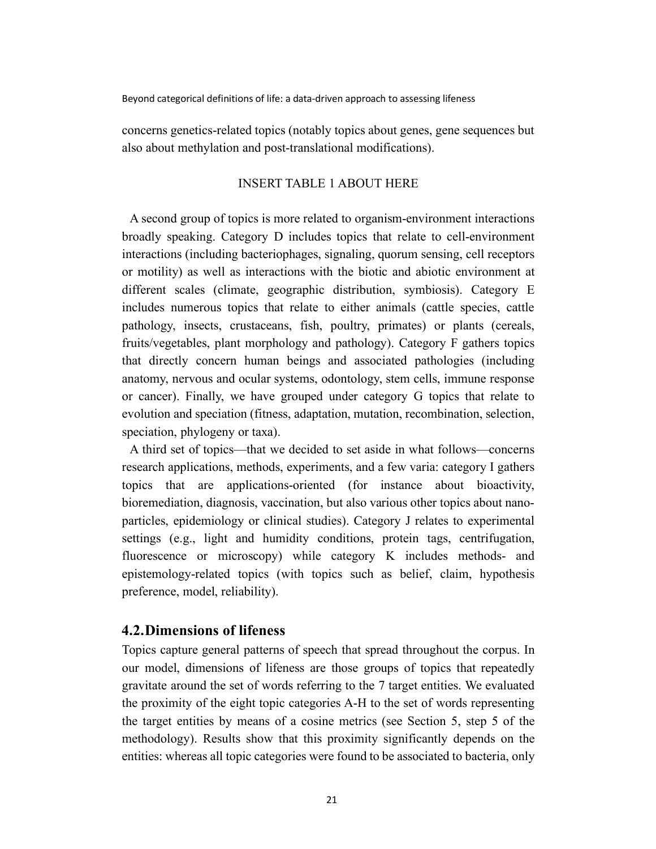concerns genetics-related topics (notably topics about genes, gene sequences but also about methylation and post-translational modifications).

#### INSERT TABLE 1 ABOUT HERE

A second group of topics is more related to organism-environment interactions broadly speaking. Category D includes topics that relate to cell-environment interactions (including bacteriophages, signaling, quorum sensing, cell receptors or motility) as well as interactions with the biotic and abiotic environment at different scales (climate, geographic distribution, symbiosis). Category E includes numerous topics that relate to either animals (cattle species, cattle pathology, insects, crustaceans, fish, poultry, primates) or plants (cereals, fruits/vegetables, plant morphology and pathology). Category F gathers topics that directly concern human beings and associated pathologies (including anatomy, nervous and ocular systems, odontology, stem cells, immune response or cancer). Finally, we have grouped under category G topics that relate to evolution and speciation (fitness, adaptation, mutation, recombination, selection, speciation, phylogeny or taxa).

A third set of topics—that we decided to set aside in what follows—concerns research applications, methods, experiments, and a few varia: category I gathers topics that are applications-oriented (for instance about bioactivity, bioremediation, diagnosis, vaccination, but also various other topics about nanoparticles, epidemiology or clinical studies). Category J relates to experimental settings (e.g., light and humidity conditions, protein tags, centrifugation, fluorescence or microscopy) while category K includes methods- and epistemology-related topics (with topics such as belief, claim, hypothesis preference, model, reliability).

### **4.2.Dimensions of lifeness**

Topics capture general patterns of speech that spread throughout the corpus. In our model, dimensions of lifeness are those groups of topics that repeatedly gravitate around the set of words referring to the 7 target entities. We evaluated the proximity of the eight topic categories A-H to the set of words representing the target entities by means of a cosine metrics (see Section 5, step 5 of the methodology). Results show that this proximity significantly depends on the entities: whereas all topic categories were found to be associated to bacteria, only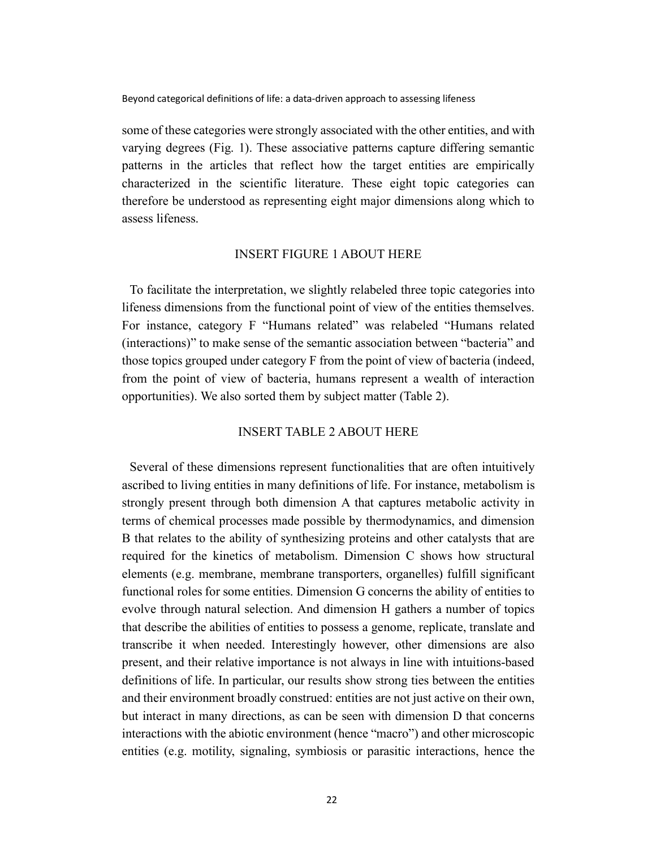some of these categories were strongly associated with the other entities, and with varying degrees (Fig. 1). These associative patterns capture differing semantic patterns in the articles that reflect how the target entities are empirically characterized in the scientific literature. These eight topic categories can therefore be understood as representing eight major dimensions along which to assess lifeness.

#### INSERT FIGURE 1 ABOUT HERE

To facilitate the interpretation, we slightly relabeled three topic categories into lifeness dimensions from the functional point of view of the entities themselves. For instance, category F "Humans related" was relabeled "Humans related (interactions)" to make sense of the semantic association between "bacteria" and those topics grouped under category F from the point of view of bacteria (indeed, from the point of view of bacteria, humans represent a wealth of interaction opportunities). We also sorted them by subject matter (Table 2).

#### INSERT TABLE 2 ABOUT HERE

Several of these dimensions represent functionalities that are often intuitively ascribed to living entities in many definitions of life. For instance, metabolism is strongly present through both dimension A that captures metabolic activity in terms of chemical processes made possible by thermodynamics, and dimension B that relates to the ability of synthesizing proteins and other catalysts that are required for the kinetics of metabolism. Dimension C shows how structural elements (e.g. membrane, membrane transporters, organelles) fulfill significant functional roles for some entities. Dimension G concerns the ability of entities to evolve through natural selection. And dimension H gathers a number of topics that describe the abilities of entities to possess a genome, replicate, translate and transcribe it when needed. Interestingly however, other dimensions are also present, and their relative importance is not always in line with intuitions-based definitions of life. In particular, our results show strong ties between the entities and their environment broadly construed: entities are not just active on their own, but interact in many directions, as can be seen with dimension D that concerns interactions with the abiotic environment (hence "macro") and other microscopic entities (e.g. motility, signaling, symbiosis or parasitic interactions, hence the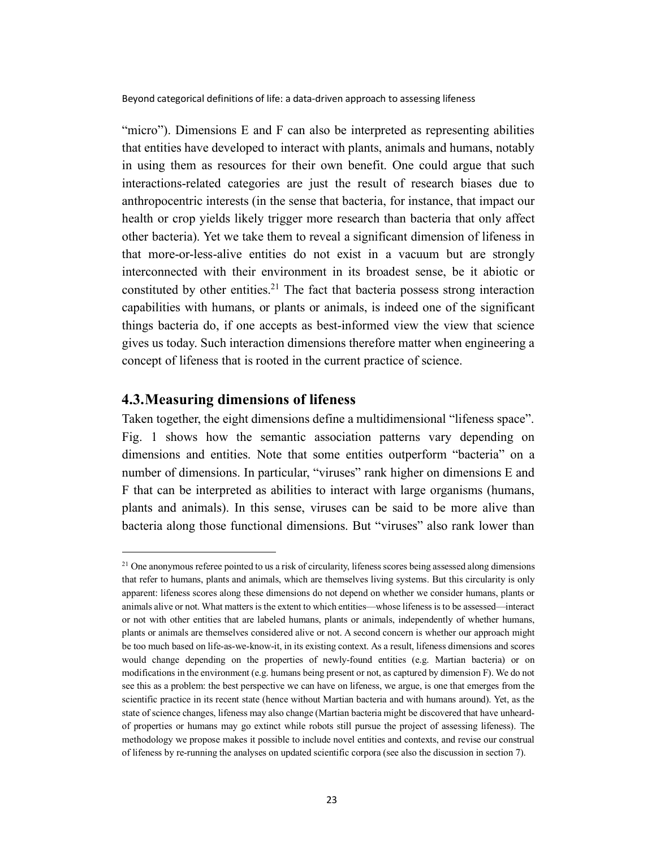"micro"). Dimensions E and F can also be interpreted as representing abilities that entities have developed to interact with plants, animals and humans, notably in using them as resources for their own benefit. One could argue that such interactions-related categories are just the result of research biases due to anthropocentric interests (in the sense that bacteria, for instance, that impact our health or crop yields likely trigger more research than bacteria that only affect other bacteria). Yet we take them to reveal a significant dimension of lifeness in that more-or-less-alive entities do not exist in a vacuum but are strongly interconnected with their environment in its broadest sense, be it abiotic or constituted by other entities.<sup>21</sup> The fact that bacteria possess strong interaction capabilities with humans, or plants or animals, is indeed one of the significant things bacteria do, if one accepts as best-informed view the view that science gives us today. Such interaction dimensions therefore matter when engineering a concept of lifeness that is rooted in the current practice of science.

#### **4.3.Measuring dimensions of lifeness**

Taken together, the eight dimensions define a multidimensional "lifeness space". Fig. 1 shows how the semantic association patterns vary depending on dimensions and entities. Note that some entities outperform "bacteria" on a number of dimensions. In particular, "viruses" rank higher on dimensions E and F that can be interpreted as abilities to interact with large organisms (humans, plants and animals). In this sense, viruses can be said to be more alive than bacteria along those functional dimensions. But "viruses" also rank lower than

<sup>&</sup>lt;sup>21</sup> One anonymous referee pointed to us a risk of circularity, lifeness scores being assessed along dimensions that refer to humans, plants and animals, which are themselves living systems. But this circularity is only apparent: lifeness scores along these dimensions do not depend on whether we consider humans, plants or animals alive or not. What matters is the extent to which entities—whose lifeness is to be assessed—interact or not with other entities that are labeled humans, plants or animals, independently of whether humans, plants or animals are themselves considered alive or not. A second concern is whether our approach might be too much based on life-as-we-know-it, in its existing context. As a result, lifeness dimensions and scores would change depending on the properties of newly-found entities (e.g. Martian bacteria) or on modifications in the environment (e.g. humans being present or not, as captured by dimension F). We do not see this as a problem: the best perspective we can have on lifeness, we argue, is one that emerges from the scientific practice in its recent state (hence without Martian bacteria and with humans around). Yet, as the state of science changes, lifeness may also change (Martian bacteria might be discovered that have unheardof properties or humans may go extinct while robots still pursue the project of assessing lifeness). The methodology we propose makes it possible to include novel entities and contexts, and revise our construal of lifeness by re-running the analyses on updated scientific corpora (see also the discussion in section 7).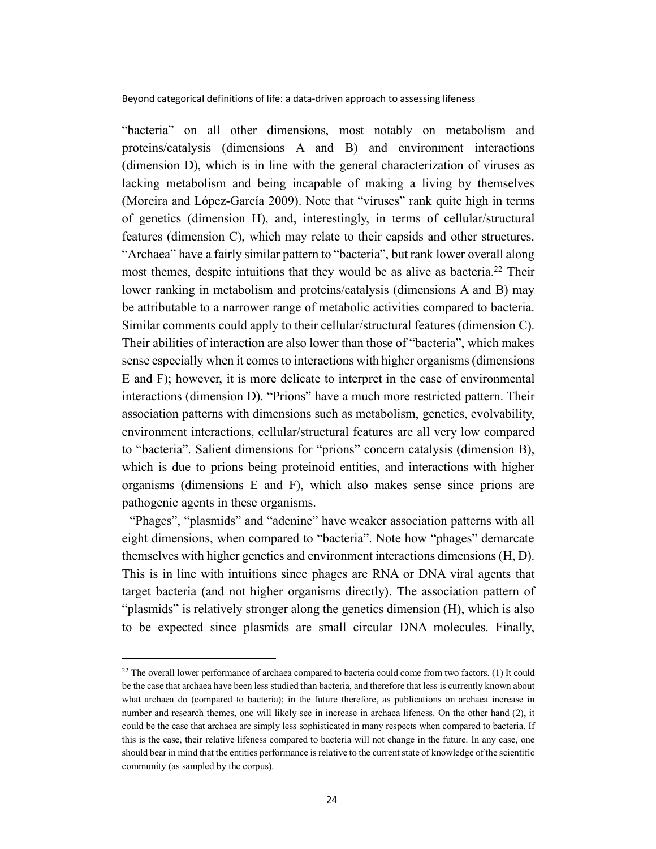"bacteria" on all other dimensions, most notably on metabolism and proteins/catalysis (dimensions A and B) and environment interactions (dimension D), which is in line with the general characterization of viruses as lacking metabolism and being incapable of making a living by themselves (Moreira and López-García 2009). Note that "viruses" rank quite high in terms of genetics (dimension H), and, interestingly, in terms of cellular/structural features (dimension C), which may relate to their capsids and other structures. "Archaea" have a fairly similar pattern to "bacteria", but rank lower overall along most themes, despite intuitions that they would be as alive as bacteria.<sup>22</sup> Their lower ranking in metabolism and proteins/catalysis (dimensions A and B) may be attributable to a narrower range of metabolic activities compared to bacteria. Similar comments could apply to their cellular/structural features (dimension C). Their abilities of interaction are also lower than those of "bacteria", which makes sense especially when it comes to interactions with higher organisms (dimensions E and F); however, it is more delicate to interpret in the case of environmental interactions (dimension D). "Prions" have a much more restricted pattern. Their association patterns with dimensions such as metabolism, genetics, evolvability, environment interactions, cellular/structural features are all very low compared to "bacteria". Salient dimensions for "prions" concern catalysis (dimension B), which is due to prions being proteinoid entities, and interactions with higher organisms (dimensions E and F), which also makes sense since prions are pathogenic agents in these organisms.

"Phages", "plasmids" and "adenine" have weaker association patterns with all eight dimensions, when compared to "bacteria". Note how "phages" demarcate themselves with higher genetics and environment interactions dimensions (H, D). This is in line with intuitions since phages are RNA or DNA viral agents that target bacteria (and not higher organisms directly). The association pattern of "plasmids" is relatively stronger along the genetics dimension (H), which is also to be expected since plasmids are small circular DNA molecules. Finally,

<sup>&</sup>lt;sup>22</sup> The overall lower performance of archaea compared to bacteria could come from two factors. (1) It could be the case that archaea have been less studied than bacteria, and therefore that less is currently known about what archaea do (compared to bacteria); in the future therefore, as publications on archaea increase in number and research themes, one will likely see in increase in archaea lifeness. On the other hand (2), it could be the case that archaea are simply less sophisticated in many respects when compared to bacteria. If this is the case, their relative lifeness compared to bacteria will not change in the future. In any case, one should bear in mind that the entities performance is relative to the current state of knowledge of the scientific community (as sampled by the corpus).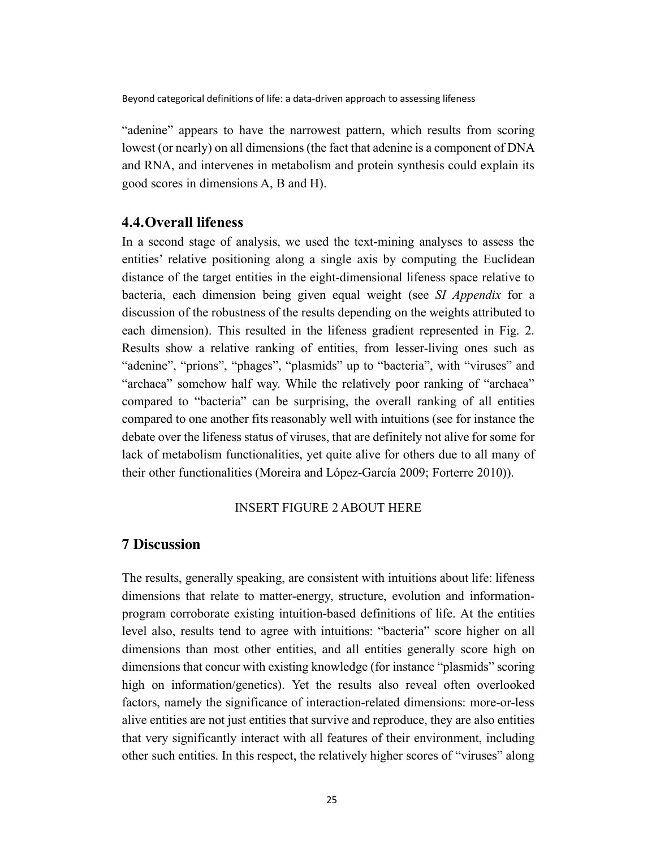"adenine" appears to have the narrowest pattern, which results from scoring lowest (or nearly) on all dimensions (the fact that adenine is a component of DNA and RNA, and intervenes in metabolism and protein synthesis could explain its good scores in dimensions A, B and H).

### **4.4.Overall lifeness**

In a second stage of analysis, we used the text-mining analyses to assess the entities' relative positioning along a single axis by computing the Euclidean distance of the target entities in the eight-dimensional lifeness space relative to bacteria, each dimension being given equal weight (see *SI Appendix* for a discussion of the robustness of the results depending on the weights attributed to each dimension). This resulted in the lifeness gradient represented in Fig. 2. Results show a relative ranking of entities, from lesser-living ones such as "adenine", "prions", "phages", "plasmids" up to "bacteria", with "viruses" and "archaea" somehow half way. While the relatively poor ranking of "archaea" compared to "bacteria" can be surprising, the overall ranking of all entities compared to one another fits reasonably well with intuitions (see for instance the debate over the lifeness status of viruses, that are definitely not alive for some for lack of metabolism functionalities, yet quite alive for others due to all many of their other functionalities (Moreira and López-García 2009; Forterre 2010)).

#### INSERT FIGURE 2 ABOUT HERE

### **7 Discussion**

The results, generally speaking, are consistent with intuitions about life: lifeness dimensions that relate to matter-energy, structure, evolution and informationprogram corroborate existing intuition-based definitions of life. At the entities level also, results tend to agree with intuitions: "bacteria" score higher on all dimensions than most other entities, and all entities generally score high on dimensions that concur with existing knowledge (for instance "plasmids" scoring high on information/genetics). Yet the results also reveal often overlooked factors, namely the significance of interaction-related dimensions: more-or-less alive entities are not just entities that survive and reproduce, they are also entities that very significantly interact with all features of their environment, including other such entities. In this respect, the relatively higher scores of "viruses" along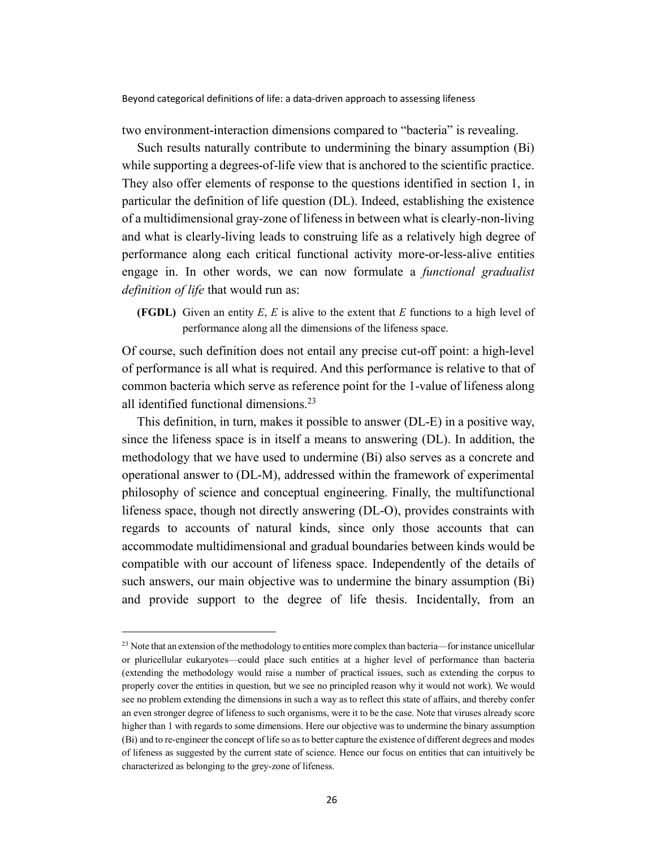two environment-interaction dimensions compared to "bacteria" is revealing.

Such results naturally contribute to undermining the binary assumption (Bi) while supporting a degrees-of-life view that is anchored to the scientific practice. They also offer elements of response to the questions identified in section 1, in particular the definition of life question (DL). Indeed, establishing the existence of a multidimensional gray-zone of lifeness in between what is clearly-non-living and what is clearly-living leads to construing life as a relatively high degree of performance along each critical functional activity more-or-less-alive entities engage in. In other words, we can now formulate a *functional gradualist definition of life* that would run as:

**(FGDL)** Given an entity *E*, *E* is alive to the extent that *E* functions to a high level of performance along all the dimensions of the lifeness space.

Of course, such definition does not entail any precise cut-off point: a high-level of performance is all what is required. And this performance is relative to that of common bacteria which serve as reference point for the 1-value of lifeness along all identified functional dimensions.23

This definition, in turn, makes it possible to answer (DL-E) in a positive way, since the lifeness space is in itself a means to answering (DL). In addition, the methodology that we have used to undermine (Bi) also serves as a concrete and operational answer to (DL-M), addressed within the framework of experimental philosophy of science and conceptual engineering. Finally, the multifunctional lifeness space, though not directly answering (DL-O), provides constraints with regards to accounts of natural kinds, since only those accounts that can accommodate multidimensional and gradual boundaries between kinds would be compatible with our account of lifeness space. Independently of the details of such answers, our main objective was to undermine the binary assumption (Bi) and provide support to the degree of life thesis. Incidentally, from an

<sup>&</sup>lt;sup>23</sup> Note that an extension of the methodology to entities more complex than bacteria—for instance unicellular or pluricellular eukaryotes—could place such entities at a higher level of performance than bacteria (extending the methodology would raise a number of practical issues, such as extending the corpus to properly cover the entities in question, but we see no principled reason why it would not work). We would see no problem extending the dimensions in such a way as to reflect this state of affairs, and thereby confer an even stronger degree of lifeness to such organisms, were it to be the case. Note that viruses already score higher than 1 with regards to some dimensions. Here our objective was to undermine the binary assumption (Bi) and to re-engineer the concept of life so as to better capture the existence of different degrees and modes of lifeness as suggested by the current state of science. Hence our focus on entities that can intuitively be characterized as belonging to the grey-zone of lifeness.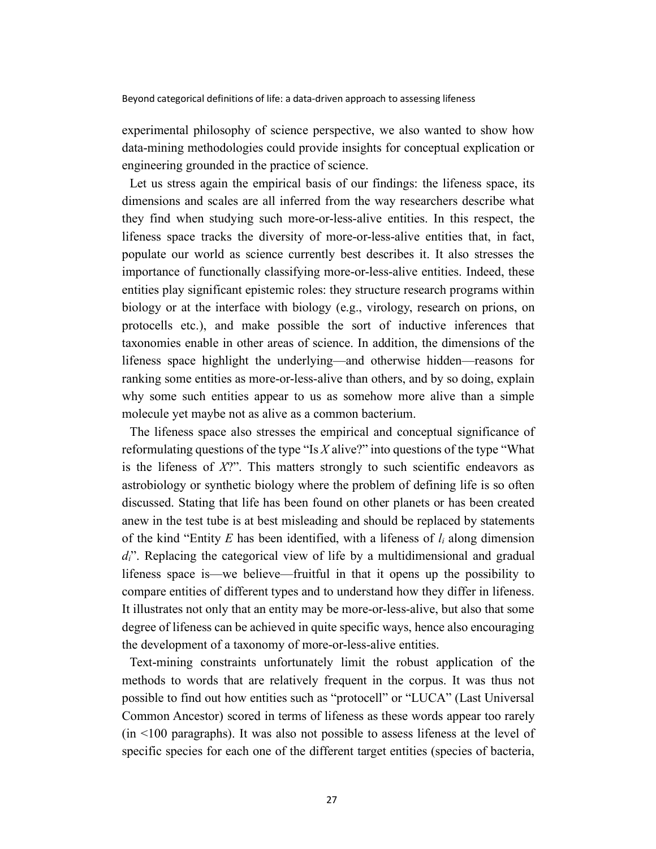experimental philosophy of science perspective, we also wanted to show how data-mining methodologies could provide insights for conceptual explication or engineering grounded in the practice of science.

Let us stress again the empirical basis of our findings: the lifeness space, its dimensions and scales are all inferred from the way researchers describe what they find when studying such more-or-less-alive entities. In this respect, the lifeness space tracks the diversity of more-or-less-alive entities that, in fact, populate our world as science currently best describes it. It also stresses the importance of functionally classifying more-or-less-alive entities. Indeed, these entities play significant epistemic roles: they structure research programs within biology or at the interface with biology (e.g., virology, research on prions, on protocells etc.), and make possible the sort of inductive inferences that taxonomies enable in other areas of science. In addition, the dimensions of the lifeness space highlight the underlying—and otherwise hidden—reasons for ranking some entities as more-or-less-alive than others, and by so doing, explain why some such entities appear to us as somehow more alive than a simple molecule yet maybe not as alive as a common bacterium.

The lifeness space also stresses the empirical and conceptual significance of reformulating questions of the type "Is *X* alive?" into questions of the type "What is the lifeness of *X*?". This matters strongly to such scientific endeavors as astrobiology or synthetic biology where the problem of defining life is so often discussed. Stating that life has been found on other planets or has been created anew in the test tube is at best misleading and should be replaced by statements of the kind "Entity  $E$  has been identified, with a lifeness of  $l_i$  along dimension *di*". Replacing the categorical view of life by a multidimensional and gradual lifeness space is—we believe—fruitful in that it opens up the possibility to compare entities of different types and to understand how they differ in lifeness. It illustrates not only that an entity may be more-or-less-alive, but also that some degree of lifeness can be achieved in quite specific ways, hence also encouraging the development of a taxonomy of more-or-less-alive entities.

Text-mining constraints unfortunately limit the robust application of the methods to words that are relatively frequent in the corpus. It was thus not possible to find out how entities such as "protocell" or "LUCA" (Last Universal Common Ancestor) scored in terms of lifeness as these words appear too rarely (in <100 paragraphs). It was also not possible to assess lifeness at the level of specific species for each one of the different target entities (species of bacteria,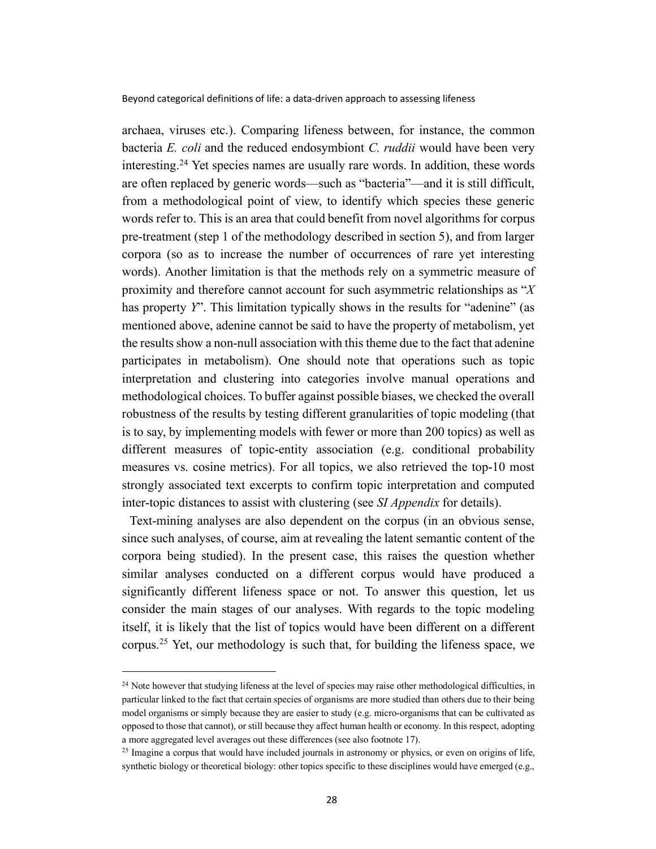archaea, viruses etc.). Comparing lifeness between, for instance, the common bacteria *E. coli* and the reduced endosymbiont *C. ruddii* would have been very interesting.24 Yet species names are usually rare words. In addition, these words are often replaced by generic words—such as "bacteria"—and it is still difficult, from a methodological point of view, to identify which species these generic words refer to. This is an area that could benefit from novel algorithms for corpus pre-treatment (step 1 of the methodology described in section 5), and from larger corpora (so as to increase the number of occurrences of rare yet interesting words). Another limitation is that the methods rely on a symmetric measure of proximity and therefore cannot account for such asymmetric relationships as "*X* has property *Y*". This limitation typically shows in the results for "adenine" (as mentioned above, adenine cannot be said to have the property of metabolism, yet the results show a non-null association with this theme due to the fact that adenine participates in metabolism). One should note that operations such as topic interpretation and clustering into categories involve manual operations and methodological choices. To buffer against possible biases, we checked the overall robustness of the results by testing different granularities of topic modeling (that is to say, by implementing models with fewer or more than 200 topics) as well as different measures of topic-entity association (e.g. conditional probability measures vs. cosine metrics). For all topics, we also retrieved the top-10 most strongly associated text excerpts to confirm topic interpretation and computed inter-topic distances to assist with clustering (see *SI Appendix* for details).

Text-mining analyses are also dependent on the corpus (in an obvious sense, since such analyses, of course, aim at revealing the latent semantic content of the corpora being studied). In the present case, this raises the question whether similar analyses conducted on a different corpus would have produced a significantly different lifeness space or not. To answer this question, let us consider the main stages of our analyses. With regards to the topic modeling itself, it is likely that the list of topics would have been different on a different corpus.25 Yet, our methodology is such that, for building the lifeness space, we

<sup>&</sup>lt;sup>24</sup> Note however that studying lifeness at the level of species may raise other methodological difficulties, in particular linked to the fact that certain species of organisms are more studied than others due to their being model organisms or simply because they are easier to study (e.g. micro-organisms that can be cultivated as opposed to those that cannot), or still because they affect human health or economy. In this respect, adopting a more aggregated level averages out these differences (see also footnote 17).

<sup>&</sup>lt;sup>25</sup> Imagine a corpus that would have included journals in astronomy or physics, or even on origins of life, synthetic biology or theoretical biology: other topics specific to these disciplines would have emerged (e.g.,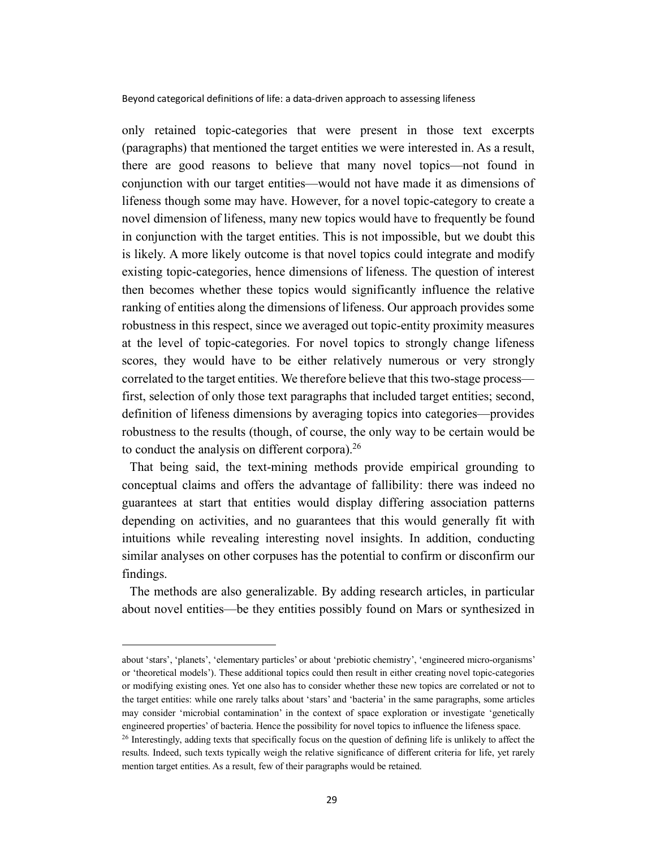only retained topic-categories that were present in those text excerpts (paragraphs) that mentioned the target entities we were interested in. As a result, there are good reasons to believe that many novel topics—not found in conjunction with our target entities—would not have made it as dimensions of lifeness though some may have. However, for a novel topic-category to create a novel dimension of lifeness, many new topics would have to frequently be found in conjunction with the target entities. This is not impossible, but we doubt this is likely. A more likely outcome is that novel topics could integrate and modify existing topic-categories, hence dimensions of lifeness. The question of interest then becomes whether these topics would significantly influence the relative ranking of entities along the dimensions of lifeness. Our approach provides some robustness in this respect, since we averaged out topic-entity proximity measures at the level of topic-categories. For novel topics to strongly change lifeness scores, they would have to be either relatively numerous or very strongly correlated to the target entities. We therefore believe that this two-stage process first, selection of only those text paragraphs that included target entities; second, definition of lifeness dimensions by averaging topics into categories—provides robustness to the results (though, of course, the only way to be certain would be to conduct the analysis on different corpora).26

That being said, the text-mining methods provide empirical grounding to conceptual claims and offers the advantage of fallibility: there was indeed no guarantees at start that entities would display differing association patterns depending on activities, and no guarantees that this would generally fit with intuitions while revealing interesting novel insights. In addition, conducting similar analyses on other corpuses has the potential to confirm or disconfirm our findings.

The methods are also generalizable. By adding research articles, in particular about novel entities—be they entities possibly found on Mars or synthesized in

1

about 'stars', 'planets', 'elementary particles' or about 'prebiotic chemistry', 'engineered micro-organisms' or 'theoretical models'). These additional topics could then result in either creating novel topic-categories or modifying existing ones. Yet one also has to consider whether these new topics are correlated or not to the target entities: while one rarely talks about 'stars' and 'bacteria' in the same paragraphs, some articles may consider 'microbial contamination' in the context of space exploration or investigate 'genetically engineered properties' of bacteria. Hence the possibility for novel topics to influence the lifeness space.

<sup>&</sup>lt;sup>26</sup> Interestingly, adding texts that specifically focus on the question of defining life is unlikely to affect the results. Indeed, such texts typically weigh the relative significance of different criteria for life, yet rarely mention target entities. As a result, few of their paragraphs would be retained.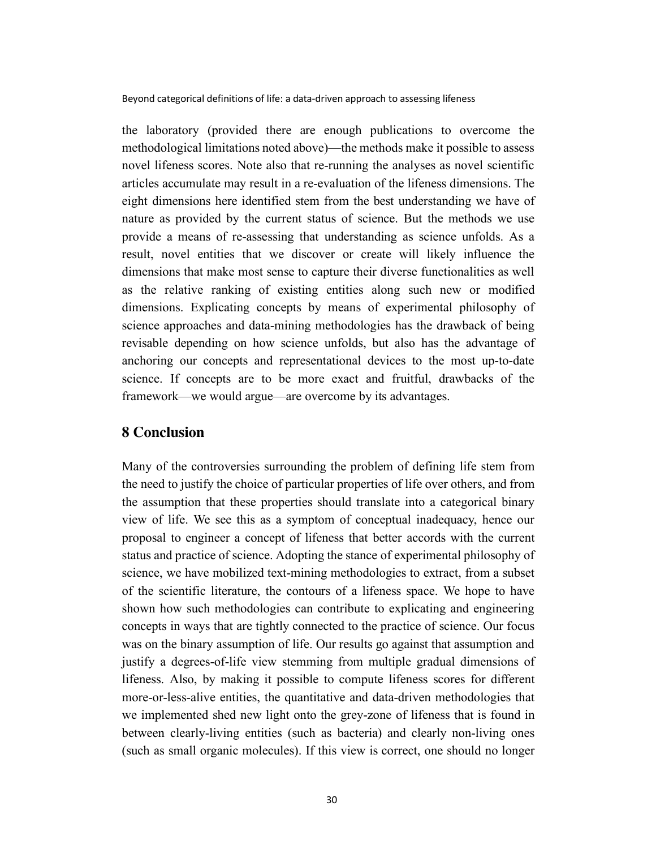the laboratory (provided there are enough publications to overcome the methodological limitations noted above)—the methods make it possible to assess novel lifeness scores. Note also that re-running the analyses as novel scientific articles accumulate may result in a re-evaluation of the lifeness dimensions. The eight dimensions here identified stem from the best understanding we have of nature as provided by the current status of science. But the methods we use provide a means of re-assessing that understanding as science unfolds. As a result, novel entities that we discover or create will likely influence the dimensions that make most sense to capture their diverse functionalities as well as the relative ranking of existing entities along such new or modified dimensions. Explicating concepts by means of experimental philosophy of science approaches and data-mining methodologies has the drawback of being revisable depending on how science unfolds, but also has the advantage of anchoring our concepts and representational devices to the most up-to-date science. If concepts are to be more exact and fruitful, drawbacks of the framework—we would argue—are overcome by its advantages.

### **8 Conclusion**

Many of the controversies surrounding the problem of defining life stem from the need to justify the choice of particular properties of life over others, and from the assumption that these properties should translate into a categorical binary view of life. We see this as a symptom of conceptual inadequacy, hence our proposal to engineer a concept of lifeness that better accords with the current status and practice of science. Adopting the stance of experimental philosophy of science, we have mobilized text-mining methodologies to extract, from a subset of the scientific literature, the contours of a lifeness space. We hope to have shown how such methodologies can contribute to explicating and engineering concepts in ways that are tightly connected to the practice of science. Our focus was on the binary assumption of life. Our results go against that assumption and justify a degrees-of-life view stemming from multiple gradual dimensions of lifeness. Also, by making it possible to compute lifeness scores for different more-or-less-alive entities, the quantitative and data-driven methodologies that we implemented shed new light onto the grey-zone of lifeness that is found in between clearly-living entities (such as bacteria) and clearly non-living ones (such as small organic molecules). If this view is correct, one should no longer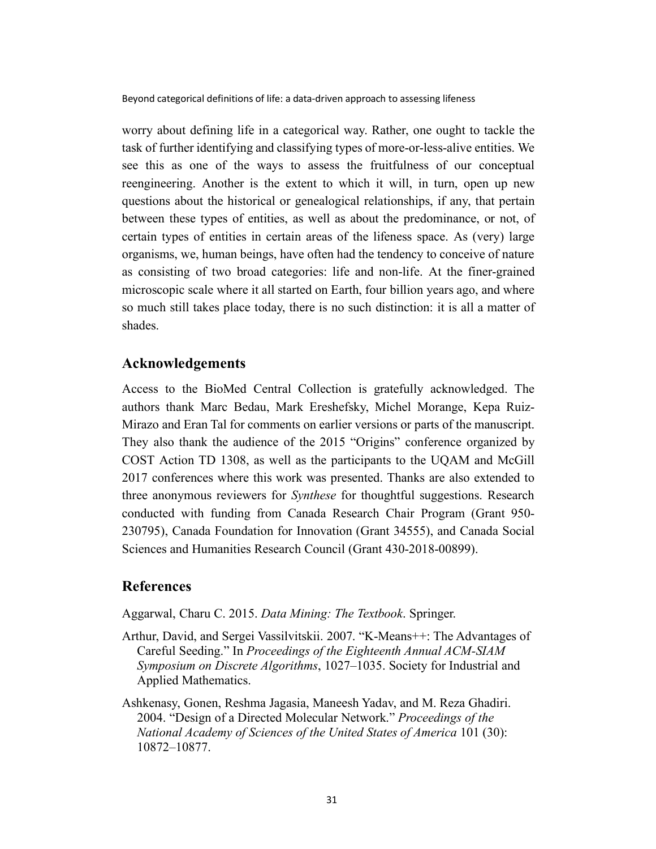worry about defining life in a categorical way. Rather, one ought to tackle the task of further identifying and classifying types of more-or-less-alive entities. We see this as one of the ways to assess the fruitfulness of our conceptual reengineering. Another is the extent to which it will, in turn, open up new questions about the historical or genealogical relationships, if any, that pertain between these types of entities, as well as about the predominance, or not, of certain types of entities in certain areas of the lifeness space. As (very) large organisms, we, human beings, have often had the tendency to conceive of nature as consisting of two broad categories: life and non-life. At the finer-grained microscopic scale where it all started on Earth, four billion years ago, and where so much still takes place today, there is no such distinction: it is all a matter of shades.

### **Acknowledgements**

Access to the BioMed Central Collection is gratefully acknowledged. The authors thank Marc Bedau, Mark Ereshefsky, Michel Morange, Kepa Ruiz-Mirazo and Eran Tal for comments on earlier versions or parts of the manuscript. They also thank the audience of the 2015 "Origins" conference organized by COST Action TD 1308, as well as the participants to the UQAM and McGill 2017 conferences where this work was presented. Thanks are also extended to three anonymous reviewers for *Synthese* for thoughtful suggestions. Research conducted with funding from Canada Research Chair Program (Grant 950- 230795), Canada Foundation for Innovation (Grant 34555), and Canada Social Sciences and Humanities Research Council (Grant 430-2018-00899).

# **References**

Aggarwal, Charu C. 2015. *Data Mining: The Textbook*. Springer.

- Arthur, David, and Sergei Vassilvitskii. 2007. "K-Means++: The Advantages of Careful Seeding." In *Proceedings of the Eighteenth Annual ACM-SIAM Symposium on Discrete Algorithms*, 1027–1035. Society for Industrial and Applied Mathematics.
- Ashkenasy, Gonen, Reshma Jagasia, Maneesh Yadav, and M. Reza Ghadiri. 2004. "Design of a Directed Molecular Network." *Proceedings of the National Academy of Sciences of the United States of America* 101 (30): 10872–10877.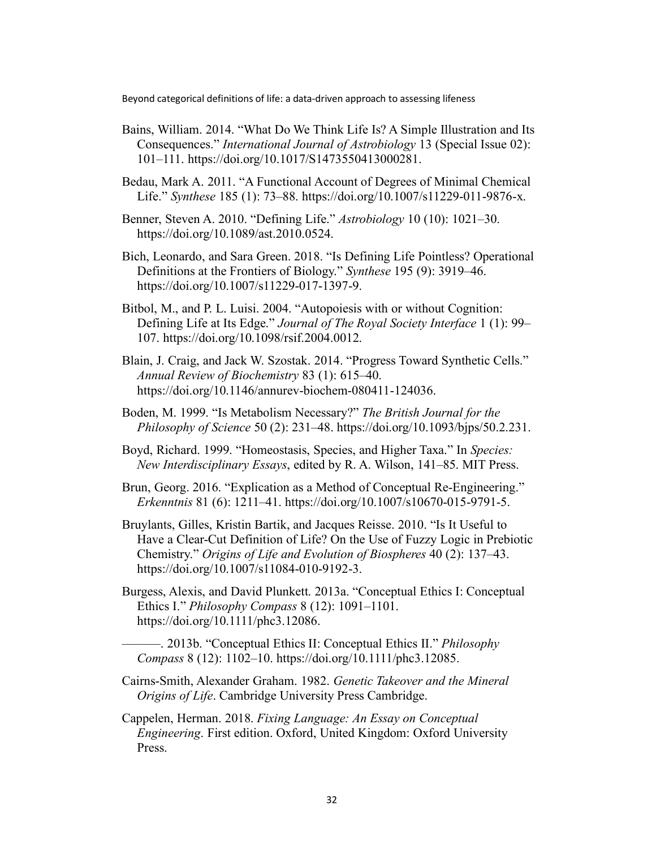- Bains, William. 2014. "What Do We Think Life Is? A Simple Illustration and Its Consequences." *International Journal of Astrobiology* 13 (Special Issue 02): 101–111. https://doi.org/10.1017/S1473550413000281.
- Bedau, Mark A. 2011. "A Functional Account of Degrees of Minimal Chemical Life." *Synthese* 185 (1): 73–88. https://doi.org/10.1007/s11229-011-9876-x.
- Benner, Steven A. 2010. "Defining Life." *Astrobiology* 10 (10): 1021–30. https://doi.org/10.1089/ast.2010.0524.
- Bich, Leonardo, and Sara Green. 2018. "Is Defining Life Pointless? Operational Definitions at the Frontiers of Biology." *Synthese* 195 (9): 3919–46. https://doi.org/10.1007/s11229-017-1397-9.
- Bitbol, M., and P. L. Luisi. 2004. "Autopoiesis with or without Cognition: Defining Life at Its Edge." *Journal of The Royal Society Interface* 1 (1): 99– 107. https://doi.org/10.1098/rsif.2004.0012.
- Blain, J. Craig, and Jack W. Szostak. 2014. "Progress Toward Synthetic Cells." *Annual Review of Biochemistry* 83 (1): 615–40. https://doi.org/10.1146/annurev-biochem-080411-124036.
- Boden, M. 1999. "Is Metabolism Necessary?" *The British Journal for the Philosophy of Science* 50 (2): 231–48. https://doi.org/10.1093/bjps/50.2.231.
- Boyd, Richard. 1999. "Homeostasis, Species, and Higher Taxa." In *Species: New Interdisciplinary Essays*, edited by R. A. Wilson, 141–85. MIT Press.
- Brun, Georg. 2016. "Explication as a Method of Conceptual Re-Engineering." *Erkenntnis* 81 (6): 1211–41. https://doi.org/10.1007/s10670-015-9791-5.
- Bruylants, Gilles, Kristin Bartik, and Jacques Reisse. 2010. "Is It Useful to Have a Clear-Cut Definition of Life? On the Use of Fuzzy Logic in Prebiotic Chemistry." *Origins of Life and Evolution of Biospheres* 40 (2): 137–43. https://doi.org/10.1007/s11084-010-9192-3.
- Burgess, Alexis, and David Plunkett. 2013a. "Conceptual Ethics I: Conceptual Ethics I." *Philosophy Compass* 8 (12): 1091–1101. https://doi.org/10.1111/phc3.12086.

———. 2013b. "Conceptual Ethics II: Conceptual Ethics II." *Philosophy Compass* 8 (12): 1102–10. https://doi.org/10.1111/phc3.12085.

Cairns-Smith, Alexander Graham. 1982. *Genetic Takeover and the Mineral Origins of Life*. Cambridge University Press Cambridge.

Cappelen, Herman. 2018. *Fixing Language: An Essay on Conceptual Engineering*. First edition. Oxford, United Kingdom: Oxford University Press.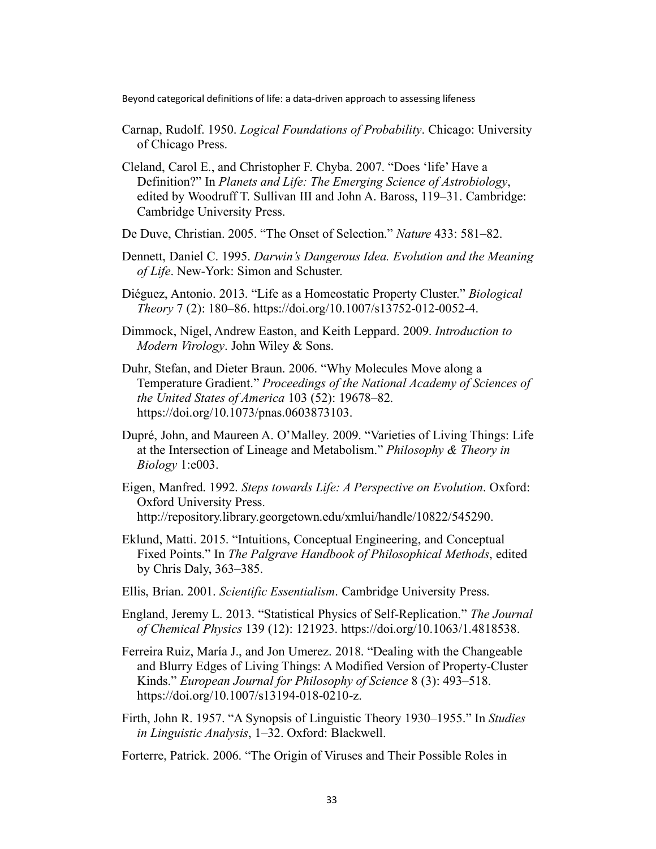- Carnap, Rudolf. 1950. *Logical Foundations of Probability*. Chicago: University of Chicago Press.
- Cleland, Carol E., and Christopher F. Chyba. 2007. "Does 'life' Have a Definition?" In *Planets and Life: The Emerging Science of Astrobiology*, edited by Woodruff T. Sullivan III and John A. Baross, 119–31. Cambridge: Cambridge University Press.
- De Duve, Christian. 2005. "The Onset of Selection." *Nature* 433: 581–82.
- Dennett, Daniel C. 1995. *Darwin's Dangerous Idea. Evolution and the Meaning of Life*. New-York: Simon and Schuster.
- Diéguez, Antonio. 2013. "Life as a Homeostatic Property Cluster." *Biological Theory* 7 (2): 180–86. https://doi.org/10.1007/s13752-012-0052-4.
- Dimmock, Nigel, Andrew Easton, and Keith Leppard. 2009. *Introduction to Modern Virology*. John Wiley & Sons.
- Duhr, Stefan, and Dieter Braun. 2006. "Why Molecules Move along a Temperature Gradient." *Proceedings of the National Academy of Sciences of the United States of America* 103 (52): 19678–82. https://doi.org/10.1073/pnas.0603873103.
- Dupré, John, and Maureen A. O'Malley. 2009. "Varieties of Living Things: Life at the Intersection of Lineage and Metabolism." *Philosophy & Theory in Biology* 1:e003.
- Eigen, Manfred. 1992. *Steps towards Life: A Perspective on Evolution*. Oxford: Oxford University Press. http://repository.library.georgetown.edu/xmlui/handle/10822/545290.
- Eklund, Matti. 2015. "Intuitions, Conceptual Engineering, and Conceptual Fixed Points." In *The Palgrave Handbook of Philosophical Methods*, edited by Chris Daly, 363–385.
- Ellis, Brian. 2001. *Scientific Essentialism*. Cambridge University Press.
- England, Jeremy L. 2013. "Statistical Physics of Self-Replication." *The Journal of Chemical Physics* 139 (12): 121923. https://doi.org/10.1063/1.4818538.
- Ferreira Ruiz, María J., and Jon Umerez. 2018. "Dealing with the Changeable and Blurry Edges of Living Things: A Modified Version of Property-Cluster Kinds." *European Journal for Philosophy of Science* 8 (3): 493–518. https://doi.org/10.1007/s13194-018-0210-z.
- Firth, John R. 1957. "A Synopsis of Linguistic Theory 1930–1955." In *Studies in Linguistic Analysis*, 1–32. Oxford: Blackwell.
- Forterre, Patrick. 2006. "The Origin of Viruses and Their Possible Roles in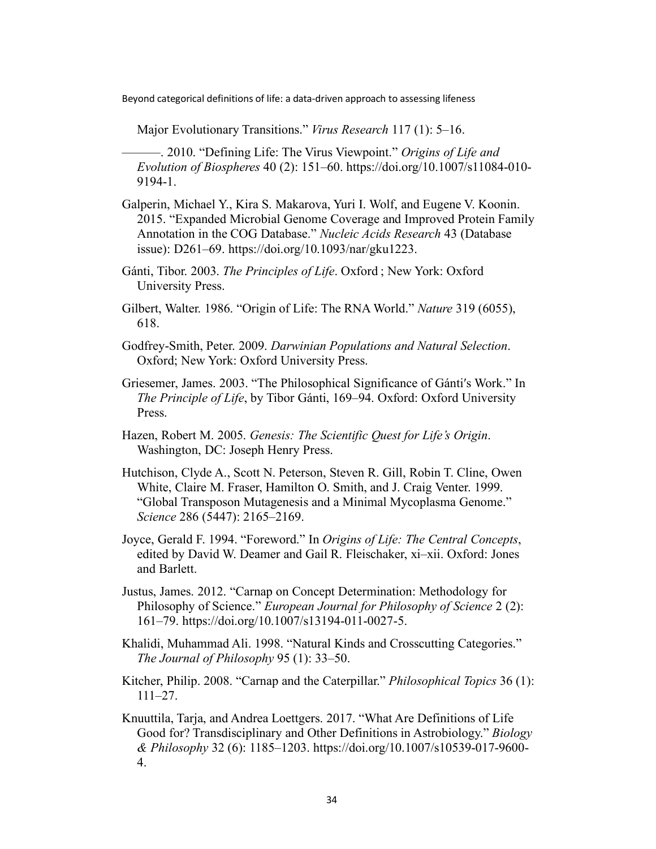Major Evolutionary Transitions." *Virus Research* 117 (1): 5–16.

———. 2010. "Defining Life: The Virus Viewpoint." *Origins of Life and Evolution of Biospheres* 40 (2): 151–60. https://doi.org/10.1007/s11084-010- 9194-1.

- Galperin, Michael Y., Kira S. Makarova, Yuri I. Wolf, and Eugene V. Koonin. 2015. "Expanded Microbial Genome Coverage and Improved Protein Family Annotation in the COG Database." *Nucleic Acids Research* 43 (Database issue): D261–69. https://doi.org/10.1093/nar/gku1223.
- Gánti, Tibor. 2003. *The Principles of Life*. Oxford ; New York: Oxford University Press.
- Gilbert, Walter. 1986. "Origin of Life: The RNA World." *Nature* 319 (6055), 618.
- Godfrey-Smith, Peter. 2009. *Darwinian Populations and Natural Selection*. Oxford; New York: Oxford University Press.
- Griesemer, James. 2003. "The Philosophical Significance of Gánti′s Work." In *The Principle of Life*, by Tibor Gánti, 169–94. Oxford: Oxford University Press.
- Hazen, Robert M. 2005. *Genesis: The Scientific Quest for Life's Origin*. Washington, DC: Joseph Henry Press.
- Hutchison, Clyde A., Scott N. Peterson, Steven R. Gill, Robin T. Cline, Owen White, Claire M. Fraser, Hamilton O. Smith, and J. Craig Venter. 1999. "Global Transposon Mutagenesis and a Minimal Mycoplasma Genome." *Science* 286 (5447): 2165–2169.
- Joyce, Gerald F. 1994. "Foreword." In *Origins of Life: The Central Concepts*, edited by David W. Deamer and Gail R. Fleischaker, xi–xii. Oxford: Jones and Barlett.
- Justus, James. 2012. "Carnap on Concept Determination: Methodology for Philosophy of Science." *European Journal for Philosophy of Science* 2 (2): 161–79. https://doi.org/10.1007/s13194-011-0027-5.
- Khalidi, Muhammad Ali. 1998. "Natural Kinds and Crosscutting Categories." *The Journal of Philosophy* 95 (1): 33–50.
- Kitcher, Philip. 2008. "Carnap and the Caterpillar." *Philosophical Topics* 36 (1): 111–27.
- Knuuttila, Tarja, and Andrea Loettgers. 2017. "What Are Definitions of Life Good for? Transdisciplinary and Other Definitions in Astrobiology." *Biology & Philosophy* 32 (6): 1185–1203. https://doi.org/10.1007/s10539-017-9600- 4.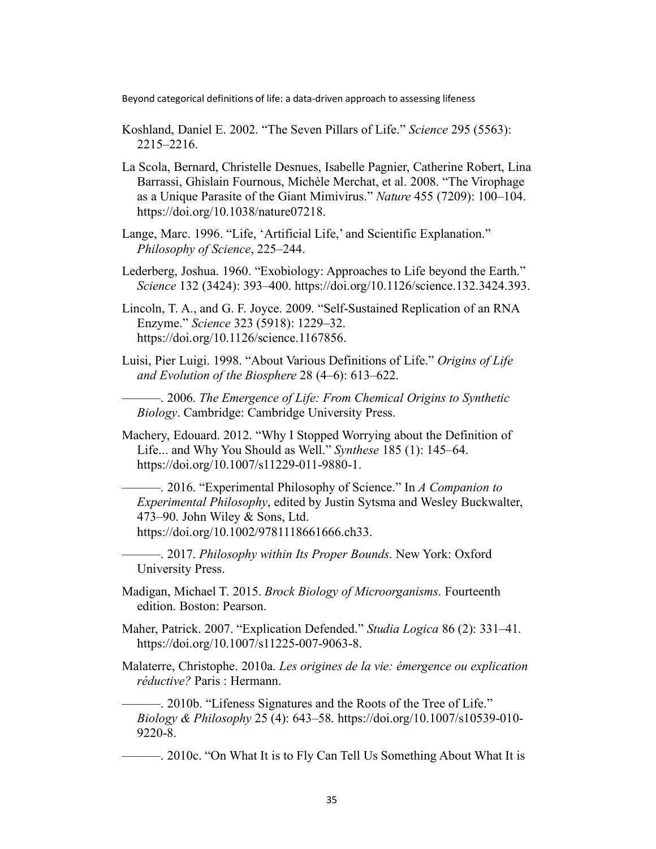- Koshland, Daniel E. 2002. "The Seven Pillars of Life." *Science* 295 (5563): 2215–2216.
- La Scola, Bernard, Christelle Desnues, Isabelle Pagnier, Catherine Robert, Lina Barrassi, Ghislain Fournous, Michèle Merchat, et al. 2008. "The Virophage as a Unique Parasite of the Giant Mimivirus." *Nature* 455 (7209): 100–104. https://doi.org/10.1038/nature07218.
- Lange, Marc. 1996. "Life, 'Artificial Life,' and Scientific Explanation." *Philosophy of Science*, 225–244.
- Lederberg, Joshua. 1960. "Exobiology: Approaches to Life beyond the Earth." *Science* 132 (3424): 393–400. https://doi.org/10.1126/science.132.3424.393.
- Lincoln, T. A., and G. F. Joyce. 2009. "Self-Sustained Replication of an RNA Enzyme." *Science* 323 (5918): 1229–32. https://doi.org/10.1126/science.1167856.
- Luisi, Pier Luigi. 1998. "About Various Definitions of Life." *Origins of Life and Evolution of the Biosphere* 28 (4–6): 613–622.

———. 2006. *The Emergence of Life: From Chemical Origins to Synthetic Biology*. Cambridge: Cambridge University Press.

Machery, Edouard. 2012. "Why I Stopped Worrying about the Definition of Life... and Why You Should as Well." *Synthese* 185 (1): 145–64. https://doi.org/10.1007/s11229-011-9880-1.

———. 2016. "Experimental Philosophy of Science." In *A Companion to Experimental Philosophy*, edited by Justin Sytsma and Wesley Buckwalter, 473–90. John Wiley & Sons, Ltd. https://doi.org/10.1002/9781118661666.ch33.

———. 2017. *Philosophy within Its Proper Bounds*. New York: Oxford University Press.

- Madigan, Michael T. 2015. *Brock Biology of Microorganisms*. Fourteenth edition. Boston: Pearson.
- Maher, Patrick. 2007. "Explication Defended." *Studia Logica* 86 (2): 331–41. https://doi.org/10.1007/s11225-007-9063-8.
- Malaterre, Christophe. 2010a. *Les origines de la vie: émergence ou explication réductive?* Paris : Hermann.

———. 2010b. "Lifeness Signatures and the Roots of the Tree of Life." *Biology & Philosophy* 25 (4): 643–58. https://doi.org/10.1007/s10539-010- 9220-8.

———. 2010c. "On What It is to Fly Can Tell Us Something About What It is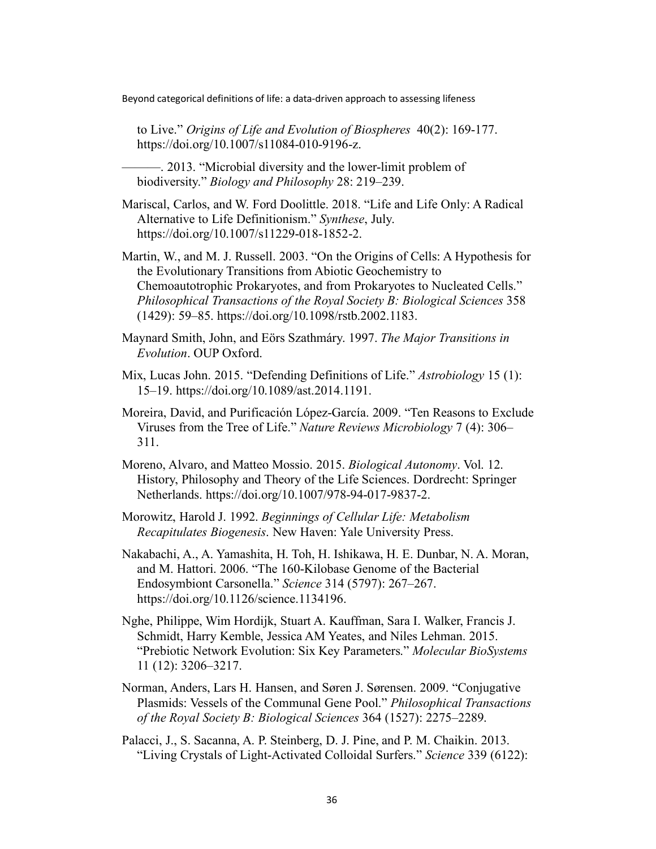to Live." *Origins of Life and Evolution of Biospheres* 40(2): 169-177. https://doi.org/10.1007/s11084-010-9196-z.

———. 2013. "Microbial diversity and the lower-limit problem of biodiversity." *Biology and Philosophy* 28: 219–239.

- Mariscal, Carlos, and W. Ford Doolittle. 2018. "Life and Life Only: A Radical Alternative to Life Definitionism." *Synthese*, July. https://doi.org/10.1007/s11229-018-1852-2.
- Martin, W., and M. J. Russell. 2003. "On the Origins of Cells: A Hypothesis for the Evolutionary Transitions from Abiotic Geochemistry to Chemoautotrophic Prokaryotes, and from Prokaryotes to Nucleated Cells." *Philosophical Transactions of the Royal Society B: Biological Sciences* 358 (1429): 59–85. https://doi.org/10.1098/rstb.2002.1183.
- Maynard Smith, John, and Eörs Szathmáry. 1997. *The Major Transitions in Evolution*. OUP Oxford.
- Mix, Lucas John. 2015. "Defending Definitions of Life." *Astrobiology* 15 (1): 15–19. https://doi.org/10.1089/ast.2014.1191.
- Moreira, David, and Purificación López-García. 2009. "Ten Reasons to Exclude Viruses from the Tree of Life." *Nature Reviews Microbiology* 7 (4): 306– 311.
- Moreno, Alvaro, and Matteo Mossio. 2015. *Biological Autonomy*. Vol. 12. History, Philosophy and Theory of the Life Sciences. Dordrecht: Springer Netherlands. https://doi.org/10.1007/978-94-017-9837-2.
- Morowitz, Harold J. 1992. *Beginnings of Cellular Life: Metabolism Recapitulates Biogenesis*. New Haven: Yale University Press.
- Nakabachi, A., A. Yamashita, H. Toh, H. Ishikawa, H. E. Dunbar, N. A. Moran, and M. Hattori. 2006. "The 160-Kilobase Genome of the Bacterial Endosymbiont Carsonella." *Science* 314 (5797): 267–267. https://doi.org/10.1126/science.1134196.
- Nghe, Philippe, Wim Hordijk, Stuart A. Kauffman, Sara I. Walker, Francis J. Schmidt, Harry Kemble, Jessica AM Yeates, and Niles Lehman. 2015. "Prebiotic Network Evolution: Six Key Parameters." *Molecular BioSystems* 11 (12): 3206–3217.
- Norman, Anders, Lars H. Hansen, and Søren J. Sørensen. 2009. "Conjugative Plasmids: Vessels of the Communal Gene Pool." *Philosophical Transactions of the Royal Society B: Biological Sciences* 364 (1527): 2275–2289.
- Palacci, J., S. Sacanna, A. P. Steinberg, D. J. Pine, and P. M. Chaikin. 2013. "Living Crystals of Light-Activated Colloidal Surfers." *Science* 339 (6122):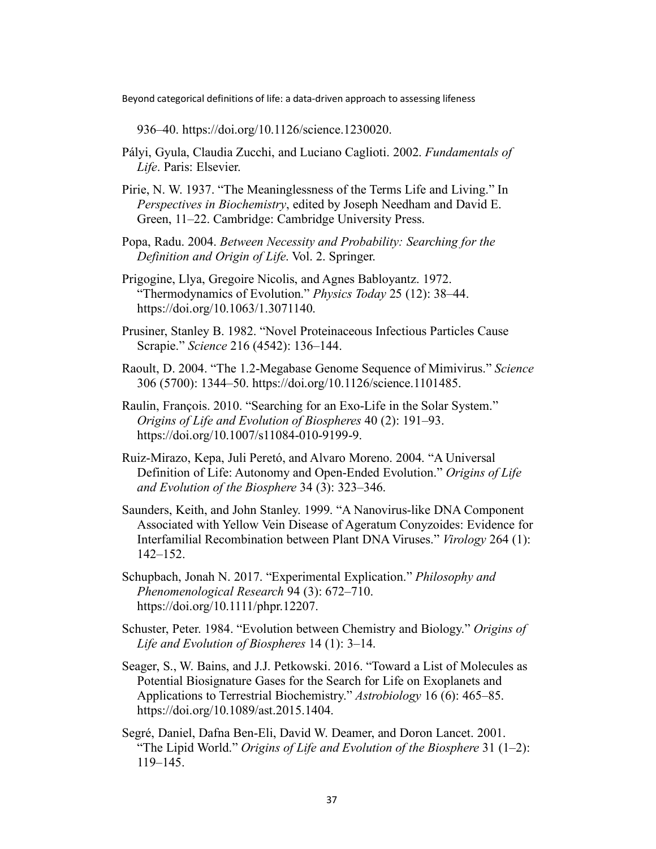936–40. https://doi.org/10.1126/science.1230020.

- Pályi, Gyula, Claudia Zucchi, and Luciano Caglioti. 2002. *Fundamentals of Life*. Paris: Elsevier.
- Pirie, N. W. 1937. "The Meaninglessness of the Terms Life and Living." In *Perspectives in Biochemistry*, edited by Joseph Needham and David E. Green, 11–22. Cambridge: Cambridge University Press.
- Popa, Radu. 2004. *Between Necessity and Probability: Searching for the Definition and Origin of Life*. Vol. 2. Springer.
- Prigogine, Llya, Gregoire Nicolis, and Agnes Babloyantz. 1972. "Thermodynamics of Evolution." *Physics Today* 25 (12): 38–44. https://doi.org/10.1063/1.3071140.
- Prusiner, Stanley B. 1982. "Novel Proteinaceous Infectious Particles Cause Scrapie." *Science* 216 (4542): 136–144.
- Raoult, D. 2004. "The 1.2-Megabase Genome Sequence of Mimivirus." *Science* 306 (5700): 1344–50. https://doi.org/10.1126/science.1101485.
- Raulin, François. 2010. "Searching for an Exo-Life in the Solar System." *Origins of Life and Evolution of Biospheres* 40 (2): 191–93. https://doi.org/10.1007/s11084-010-9199-9.
- Ruiz-Mirazo, Kepa, Juli Peretó, and Alvaro Moreno. 2004. "A Universal Definition of Life: Autonomy and Open-Ended Evolution." *Origins of Life and Evolution of the Biosphere* 34 (3): 323–346.
- Saunders, Keith, and John Stanley. 1999. "A Nanovirus-like DNA Component Associated with Yellow Vein Disease of Ageratum Conyzoides: Evidence for Interfamilial Recombination between Plant DNA Viruses." *Virology* 264 (1): 142–152.
- Schupbach, Jonah N. 2017. "Experimental Explication." *Philosophy and Phenomenological Research* 94 (3): 672–710. https://doi.org/10.1111/phpr.12207.
- Schuster, Peter. 1984. "Evolution between Chemistry and Biology." *Origins of Life and Evolution of Biospheres* 14 (1): 3–14.
- Seager, S., W. Bains, and J.J. Petkowski. 2016. "Toward a List of Molecules as Potential Biosignature Gases for the Search for Life on Exoplanets and Applications to Terrestrial Biochemistry." *Astrobiology* 16 (6): 465–85. https://doi.org/10.1089/ast.2015.1404.
- Segré, Daniel, Dafna Ben-Eli, David W. Deamer, and Doron Lancet. 2001. "The Lipid World." *Origins of Life and Evolution of the Biosphere* 31 (1–2): 119–145.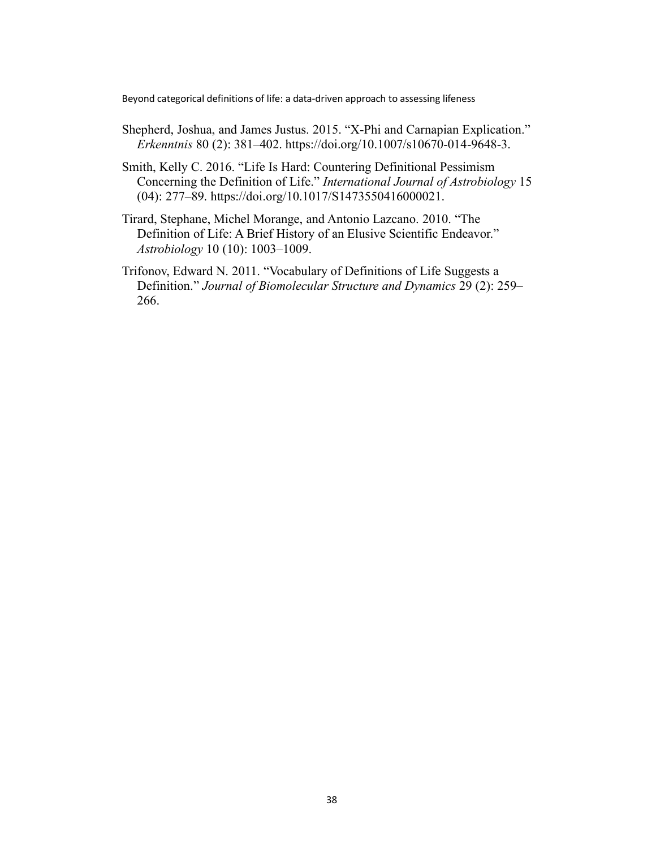- Shepherd, Joshua, and James Justus. 2015. "X-Phi and Carnapian Explication." *Erkenntnis* 80 (2): 381–402. https://doi.org/10.1007/s10670-014-9648-3.
- Smith, Kelly C. 2016. "Life Is Hard: Countering Definitional Pessimism Concerning the Definition of Life." *International Journal of Astrobiology* 15 (04): 277–89. https://doi.org/10.1017/S1473550416000021.
- Tirard, Stephane, Michel Morange, and Antonio Lazcano. 2010. "The Definition of Life: A Brief History of an Elusive Scientific Endeavor." *Astrobiology* 10 (10): 1003–1009.
- Trifonov, Edward N. 2011. "Vocabulary of Definitions of Life Suggests a Definition." *Journal of Biomolecular Structure and Dynamics* 29 (2): 259– 266.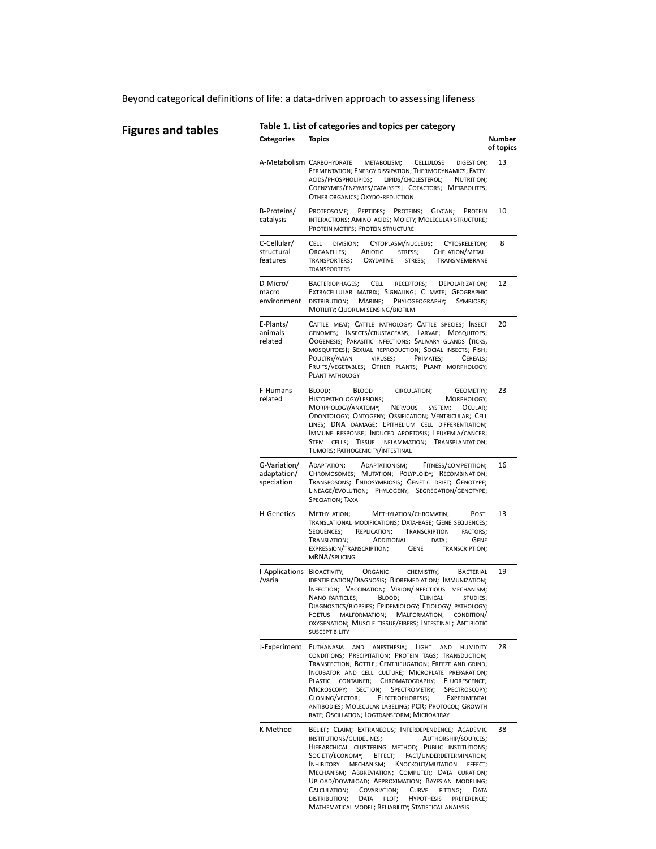| <b>Figures and tables</b> | Categories                                | Table 1. List of categories and topics per category<br><b>Topics</b>                                                                                                                                                                                                                                                                                                                                                                                                                                                                                                                                     | Number          |
|---------------------------|-------------------------------------------|----------------------------------------------------------------------------------------------------------------------------------------------------------------------------------------------------------------------------------------------------------------------------------------------------------------------------------------------------------------------------------------------------------------------------------------------------------------------------------------------------------------------------------------------------------------------------------------------------------|-----------------|
|                           |                                           | A-Metabolism CARBOHYDRATE<br><b>CELLULOSE</b><br>METABOLISM;<br>DIGESTION;<br>FERMENTATION; ENERGY DISSIPATION; THERMODYNAMICS; FATTY-<br>LIPIDS/CHOLESTEROL;<br>ACIDS/PHOSPHOLIPIDS;<br><b>NUTRITION:</b><br>COENZYMES/ENZYMES/CATALYSTS; COFACTORS; METABOLITES;<br>OTHER ORGANICS; OXYDO-REDUCTION                                                                                                                                                                                                                                                                                                    | of topics<br>13 |
|                           | B-Proteins/<br>catalysis                  | PEPTIDES;<br>PROTEINS;<br>PROTEOSOME;<br>GLYCAN;<br>PROTEIN<br>INTERACTIONS; AMINO-ACIDS; MOIETY; MOLECULAR STRUCTURE;<br>PROTEIN MOTIFS; PROTEIN STRUCTURE                                                                                                                                                                                                                                                                                                                                                                                                                                              | 10              |
|                           | C-Cellular/<br>structural<br>features     | CYTOPLASM/NUCLEUS;<br>CELL<br>DIVISION;<br>CYTOSKELETON;<br>ORGANELLES;<br>CHELATION/METAL-<br><b>ABIOTIC</b><br>STRESS;<br>TRANSMEMBRANE<br>TRANSPORTERS;<br>OXYDATIVE<br>STRESS;<br><b>TRANSPORTERS</b>                                                                                                                                                                                                                                                                                                                                                                                                | 8               |
|                           | D-Micro/<br>macro<br>environment          | BACTERIOPHAGES;<br><b>CELL</b><br>RECEPTORS;<br>DEPOLARIZATION;<br>EXTRACELLULAR MATRIX; SIGNALING; CLIMATE; GEOGRAPHIC<br>MARINE;<br>PHYLOGEOGRAPHY;<br>DISTRIBUTION;<br>SYMBIOSIS;<br>MOTILITY; QUORUM SENSING/BIOFILM                                                                                                                                                                                                                                                                                                                                                                                 | 12              |
|                           | E-Plants/<br>animals<br>related           | CATTLE MEAT; CATTLE PATHOLOGY; CATTLE SPECIES; INSECT<br>GENOMES; INSECTS/CRUSTACEANS; LARVAE; MOSQUITOES;<br>OOGENESIS; PARASITIC INFECTIONS; SALIVARY GLANDS (TICKS,<br>MOSQUITOES); SEXUAL REPRODUCTION; SOCIAL INSECTS; FISH;<br>POULTRY/AVIAN<br>VIRUSES;<br>PRIMATES:<br>CEREALS;<br>FRUITS/VEGETABLES; OTHER PLANTS; PLANT MORPHOLOGY;<br>PLANT PATHOLOGY                                                                                                                                                                                                                                         | 20              |
|                           | F-Humans<br>related                       | BLOOD;<br><b>BLOOD</b><br>CIRCULATION;<br>GEOMETRY;<br>HISTOPATHOLOGY/LESIONS;<br>MORPHOLOGY;<br>MORPHOLOGY/ANATOMY;<br><b>NERVOUS</b><br>SYSTEM;<br>OCULAR;<br>ODONTOLOGY; ONTOGENY; OSSIFICATION; VENTRICULAR; CELL<br>LINES; DNA DAMAGE; EPITHELIUM CELL DIFFERENTIATION;<br>IMMUNE RESPONSE; INDUCED APOPTOSIS; LEUKEMIA/CANCER;<br>STEM CELLS; TISSUE INFLAMMATION; TRANSPLANTATION;<br>TUMORS; PATHOGENICITY/INTESTINAL                                                                                                                                                                            | 23              |
|                           | G-Variation/<br>adaptation/<br>speciation | ADAPTATION;<br>FITNESS/COMPETITION;<br>ADAPTATIONISM;<br>CHROMOSOMES; MUTATION; POLYPLOIDY; RECOMBINATION;<br>TRANSPOSONS; ENDOSYMBIOSIS; GENETIC DRIFT; GENOTYPE;<br>LINEAGE/EVOLUTION; PHYLOGENY; SEGREGATION/GENOTYPE;<br>SPECIATION; TAXA                                                                                                                                                                                                                                                                                                                                                            | 16              |
|                           | H-Genetics                                | METHYLATION/CHROMATIN;<br>METHYLATION;<br>POST-<br>TRANSLATIONAL MODIFICATIONS; DATA-BASE; GENE SEQUENCES;<br>SEQUENCES;<br>REPLICATION;<br><b>TRANSCRIPTION</b><br>FACTORS;<br>TRANSLATION;<br>ADDITIONAL<br>DATA;<br>GENE<br>EXPRESSION/TRANSCRIPTION;<br><b>GENE</b><br>TRANSCRIPTION;<br>MRNA/SPLICING                                                                                                                                                                                                                                                                                               | 13              |
|                           | I-Applications BIOACTIVITY;<br>/varia     | ORGANIC<br>CHEMISTRY;<br><b>BACTERIAL</b><br>IDENTIFICATION/DIAGNOSIS; BIOREMEDIATION; IMMUNIZATION;<br>INFECTION; VACCINATION; VIRION/INFECTIOUS MECHANISM;<br>BLOOD;<br>NANO-PARTICLES;<br>CLINICAL<br>STUDIES;<br>DIAGNOSTICS/BIOPSIES; EPIDEMIOLOGY; ETIOLOGY/ PATHOLOGY;<br>MALFORMATION;<br>MALFORMATION;<br>CONDITION/<br><b>FOETUS</b><br>OXYGENATION; MUSCLE TISSUE/FIBERS; INTESTINAL; ANTIBIOTIC<br><b>SUSCEPTIBILITY</b>                                                                                                                                                                     | 19              |
|                           |                                           | J-Experiment EUTHANASIA AND ANESTHESIA;<br>LIGHT AND<br><b>HUMIDITY</b><br>CONDITIONS; PRECIPITATION; PROTEIN TAGS; TRANSDUCTION;<br>TRANSFECTION; BOTTLE; CENTRIFUGATION; FREEZE AND GRIND;<br>INCUBATOR AND CELL CULTURE; MICROPLATE PREPARATION;<br>PLASTIC CONTAINER;<br>CHROMATOGRAPHY;<br>FLUORESCENCE;<br>MICROSCOPY; SECTION;<br>SPECTROMETRY;<br>SPECTROSCOPY;<br>CLONING/VECTOR;<br><b>ELECTROPHORESIS:</b><br>EXPERIMENTAL<br>ANTIBODIES; MOLECULAR LABELING; PCR; PROTOCOL; GROWTH<br>RATE; OSCILLATION; LOGTRANSFORM; MICROARRAY                                                            | 28              |
|                           | K-Method                                  | BELIEF; CLAIM; EXTRANEOUS; INTERDEPENDENCE; ACADEMIC<br>INSTITUTIONS/GUIDELINES;<br>AUTHORSHIP/SOURCES;<br>HIERARCHICAL CLUSTERING METHOD; PUBLIC INSTITUTIONS;<br>FACT/UNDERDETERMINATION;<br>SOCIETY/ECONOMY;<br>EFFECT;<br>KNOCKOUT/MUTATION EFFECT;<br><b>INHIBITORY</b><br>MECHANISM;<br>MECHANISM; ABBREVIATION; COMPUTER; DATA CURATION;<br>UPLOAD/DOWNLOAD; APPROXIMATION; BAYESIAN MODELING;<br>CALCULATION;<br>COVARIATION;<br><b>CURVE</b><br>FITTING;<br>DATA<br>DISTRIBUTION;<br>DATA<br>PLOT;<br><b>HYPOTHESIS</b><br>PREFERENCE;<br>MATHEMATICAL MODEL; RELIABILITY; STATISTICAL ANALYSIS | 38              |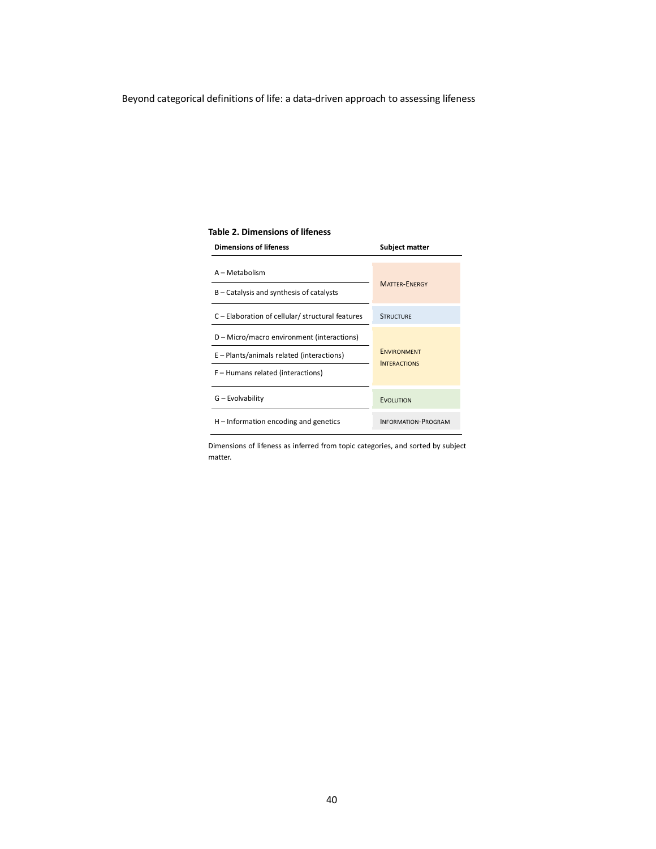#### **Table 2. Dimensions of lifeness**

| <b>Dimensions of lifeness</b>                                                                                                | Subject matter                            |  |
|------------------------------------------------------------------------------------------------------------------------------|-------------------------------------------|--|
| A – Metabolism<br>B – Catalysis and synthesis of catalysts                                                                   | <b>MATTER-ENERGY</b>                      |  |
| C – Elaboration of cellular/ structural features                                                                             | <b>STRUCTURE</b>                          |  |
| D – Micro/macro environment (interactions)<br>E – Plants/animals related (interactions)<br>F – Humans related (interactions) | <b>ENVIRONMENT</b><br><b>INTERACTIONS</b> |  |
| G – Evolvability                                                                                                             | <b>EVOLUTION</b>                          |  |
| $H$ – Information encoding and genetics                                                                                      | <b>INFORMATION-PROGRAM</b>                |  |

Dimensions of lifeness as inferred from topic categories, and sorted by subject matter.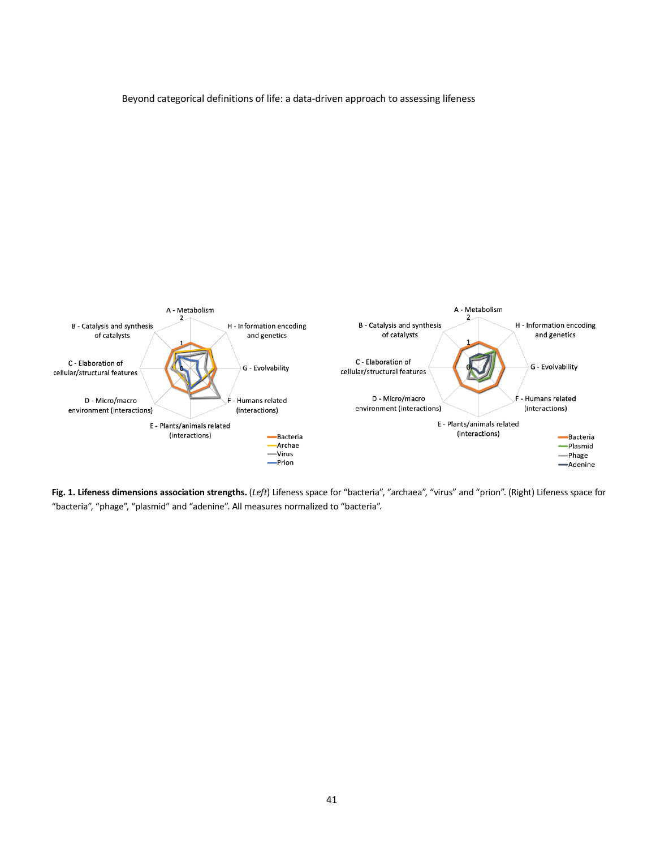

**Fig. 1. Lifeness dimensions association strengths.** (*Left*) Lifeness space for "bacteria", "archaea", "virus" and "prion". (Right) Lifeness space for "bacteria", "phage", "plasmid" and "adenine". All measures normalized to "bacteria".